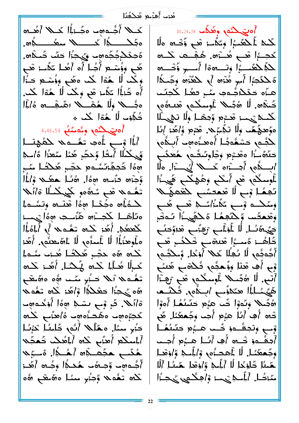هُذِبٍ أَهْبُو هَٰكِفُلُ

كَمِلًا أُجُمِعِهِ وَجُبَهِما كَمِلًا أَهُمِهِ ەككىسىگا ئىسىملا مەئىسىگە ەَجىْلاشْكُومُ مَيْجَزَّا حَفَّ خَنْدُرُه. هَم وِوُّسْـم أَجُـاً أَه أَهْـا حُكْـ: هَم وِكُما لَا هُدَا كُما هَقَمَ وِوُسْطِ حَـٰزًا أَه خَنِبًا تَكُمْ: هَم وِكُم لَا هُدَا كُمْ. كُمُوْتِ لَٰلَ هُدْلِ حُبِّ \*

 $4.46.54$   $4.46.54$   $20$ أَلَمُ! وَجِبَ غُوبَ تَعْسَمِيهِ لِلْحُكِمِيْسَا } فَيكُلُّا أَمِثًا وَحَجَّرٍ هَٰنَا مَعْزًا وَٱسْمِ هِهُا خُدِيَّاسُدُهِ حَجَّ هُحْدًا مَّ وَّجْزَه حَزَّمِهِ هِهْلِ هُنُّا حَقَّلاً وَ} أَ تَعْدِيهِ مَنْ مَنْ مَعْ كَيْكُمُلَا ةَ/أَيْلا لهُمْ وَجُمْا وَوَا هُنْدُ وِنْشُـوا مَلَاهَــا كَجِــْرَه هَزُـــجـُ هوهُا يَهـــز كَعِعْكِمْ. أُهُدْ كَمَّه تَعْدِيهِ أَبِي أَبْاهُ بِا مِلْوِهِ بِمُا لَمْ نُاسِدُهِ وَلَمْ يَاهُ بِعِنْهِم. أَهَد تَكْتَ هُ مَجْمِ هُكْتُمْ هُـنَا مُحْمَّ كَجِلًا هُـأَلِمْ نَكْتُهُ لِمُكْتَارٍ أُهَّدَ نَكْتُ تَمُّـه ١٨ أملاً حَـزُبِ مَّـَـبٍ وَهُ هَ وَهُمْ مِنْ هُهِ جِيجًا حَعْلَكُمَا وْاهْدِ ݣُلُو عَفْدِينَ ةُ/أَلمٌ. ثُمِّ وَمِعٍ بِشَكِّ وَهَٰا أُوْثَبُوهِم كَحِبُوهِمَا وَهَدْءُوهِمَا وَاهْتُمْ لَكُمْ دُّبَرِ مِمْاً. مِمَّاْتِ أَنُّمٍ ذَامِنًا تَّبُرُّـا ٱلمستَكُم أُهزَى لَكُم ٱلمُعَكَّبِ خَمْجَة هُمُب هجُمِـٓ<ُ ﴾ أهُـَّجُلُ هُـَجُلاً أَجْــدوه وِّجــوهُـد هُـدجُمْ وجُــره أَهَد: لَاه تَغُمْلا وُجُبُرٍ مِنْداً وَهُنْفُ **رُ**ّهُ

 $\sim$  10.24.38 وهُكَّمَاء  $\sim$  10.24.38 كَنمْ لَمَكْتُبُرا وَكُلُّتْ هُم وَّتَدْه هَالْ كَجِبُرا هُبِ هُــْتُ هُ. هُـفْـِ عَبْ كَـــ هُ للْمَلْعُمْــبُرا وِتْــــْمَةَا أُسْبِرٍ وَّتْـَــْمَ هُ لِكُحِبُّمْ أُمِرٍ هُنَّوْهِ ﴾ لَمَعْنَوْهِ وَجُمَعُهُ ا هنّه حَدْلاَجُــه مَــْ و حَعُــا كَلْجِنَــْ ضَنَّاه. لَا هُجَّىلا غُومِيكُم، هَنْدَهُم، للْكِيمَا أَوْ وَجِعْدَاً وَلَا تَحِيمَ الْمَسْتَمَرِّيمَ ٥ﻭَﻫﻜَﻴَﻤَﺐ ﻭﻟُﻠ ﺛَﺠَّﻴَﻴِﻴﺮٍ. ﻣْﻫِﻣِ ﻭُّﺍﻫَﺪَ ﺇﻟَﺎ لِحَقِّمٍ حَسْفُوجًا أُوهِ زُوهِم ٱبْلَامِ حَلَّهُ ــُزَا هِ هَــْبَمِ وَجَاوِئَـخُــمِ ۖ ـهُعَـكُــمِ اب کاُہ اُجہ اور تھا کہ ایک آل ولا نْأُوسِكُمْ مْنْ أَسْلَمْ وْهُوْكِّبْ فَيْ زَا تَجَمُّاً وَجِيَّ لَا مُحَمَّضَبِي حَقَقِصَهُ ومَكْدُ وْبِ تْذُنْزَاسُكْ هْبِ هُب وِهُعفُت وُلِمُفِعُلِ هَلَكُمْ اللَّهَ وَاللَّهُ ْحَيُّجِهَمُـٰـا, لَا ـٰٰٓاؤَلَمَـٰـبِ رَّفِنُنِـبِ هَدَوِّحَـٰفُ خَاهُــۃ ہُمــبُّا شَعْشَــہٖ خُـكـُــہِ شَــمَ أَجْوجُو لَا نُعِلًا كَلا أَوْكُل وُكْلُو وَلَجْمَ وْمِ أَفِ مْنَا وِزُهِيُم ثُلاَهْمِ هَنْكُمْ آتبِ. لَا هُجُــلا َمُوسِكُـمٍ مْبِ رُقِــٓ;ا هَيْمُالِمُ الصَّلاَوُبِ السِلَّهِ. ثَكْسُم وَهُمَلاً وَيُوْلَى ذُلِّ هَزُمٍ حَيْيَتُهُا أُوْزَا خْمَهِ أَبِّ أَبْلَ هَبُرِهِ أَجِبٍ وِجُمِعَكُنَا. هُم وْبِ وِلْحِقَّـٰءَ ۖ شَـٰٮ هــبُمْ حَنَّىٰهُــاً أَحِقُــهِ فَـــهِ أُفِ أَنُــا هــبُمِ أُجــب وَجَعِعَدًا. لَا غُعِجِدَوْمٍ وْإِلَمْكِمْ وَّاوْهْدا هَٰىئًا خَاوِجًا لَّا ٱيْلَىٰهِ وَٱوْتَٰدًا هَٰىئًا ٱلَّا مَنْ الْمَكْمِنْ لِمِكْمِينَ وَاحِكْمِينَ مِنْ الْمُسْتَمَرِينَ مِنْ الْمُسْتَمَرِينَ مِنْ الْمُسْتَ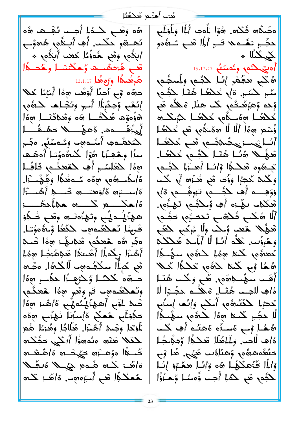هُذِبٍ أَهْزُمِ هَٰذَهُمُا

هُه وِهْـــم للـــمُـلِم أُجـــم لنُقْـــم هُه ئھ ھُو كُنْتَ. أَهِ أَبْتُمْهِ هُوؤَب ابِلَاهِمْ وَهْمٍ هُوَوُمُا كَعِندَ أَبَدُّهِمْ \* هُم فَرْدهُـــه وُـعكْنشـا وِـعُصـدًا هُرِهُداً وَرُوهُا 12.1.17 حَدَّه فِي أَحِبُّا أُوْهُد هِهُا أَجْنًا كَلا إِنْمًا وَجَدَّبَنَّا أُسِرٍ وِتَجْلِما كَاءَهُ هُؤُهِمْ هَٰذُكُــا هُه وَهُدِكُنْــا هِهُا لِّيَّةَ مِنْ مَعِيِّ لا حَمَّتُ ا لْمُعْطُّدَبُ أَمْنُدْهِبْ وَشُدْمَكُمْ. وَكُم مِيزًا وَهُجِئُ! رَوْزًا كُلُّوهُ وَوُيْتًا أَوْهُجُهِ هِهُا كَعْلَمُــِ أَبِّ كَمْعَنُــٰمٍ ثَافُــا ةُامِكْمِــةُ٥، ۞٥٥ سُـهِقُدًا وِهَمُّـــٓٓأَ. كَامِتِهِ ۚ كَاوْهِمْـــهِ ۖ شَـــهِ أَهْمَـــْزَا أمك م كم عجلُدها هِ جُنُوْ وَيُهُوَ وَشَوْءُهُ عَلَيْهِ وَهُمْ وَهُدًّا وَلَا يَدْمُ فْعِهْلُ تُعْلِّقُدُوهِ ۖ لِلنَّعْلُ وُءَهُوءُنَا. ەكبر ۋە ھەدگە ھەلكىغ بەۋا تىلم أَهَّنْ الْمُحْمَّا أَمَّسَلَا هَدِهَٰزَهُا هِمْا هْمِ كَبِلًا سِكْفُ٥، لَا كُـدُا. ٥جُـد حَــوَهُ كَلَّــُمْ وَّلْكُوجُواْ حَذِّبٍ وَهَا وِتُعَكِّشُدُهِت مُ وَقَبِرِ هِهُا خَصَفُو نْصَطِ لْمُوْمِ الْحَكِيَّةُ مِنْ أَمْسَ مِنْهَا مِنْهَا مِنْ بِجَادِلْمِ هُمَكِ هَامِنُوْلِ لَكِنَّمِ وَهُءَ لَمُوْكَلِ وِجْبِهِ أَهْبَرَا. هَٰلَلاجُا وِهُٰزَيْا هُم لِلْعُلا مْنْه مِنُوهُۥ أَالْكِي حَجَّكُه ضَـٰهُا هُوَهَــْرَهُ ضَــْحَمَــهُ هُ/هُــهُــه ةَ أَهَد: لَكُـ مَهْ هُـ هَمْ مَكِيْلًا هَ بَكْيَلًا هَمْكُمُّا شَم أَجَرْهِ وَاللَّهُ لَكُو ەجَىنْدُە قُـُدُه. ھُوٓا ۦَلُوب ٱيَّا وِيَأُوۡلَى حجّہ تھُے لا تّہ اٰ اُ قب سُدُّہو **کے گا ا** \* أَوْتِيْ لَمْنَ مُنْ 15.17.27 هُكُم هِجُمْ إِبُل لِأَمِمِ بِلَمِجْمِ مّبِ لمَسْبِ 16 مُلْعُدا هُنَا لِلْجُمْعِ وَّده وَّهرُهُدفُه ۖ كُد هلًا. وَ اللَّهُ هُم مُحْمَدًا وَمَسْلَمُوا مُحْمَدًا حَبْنَدُو وُسْعِ وِهَا ٱلْأَ لَا هَمَنِيَّهِ ۚ هُم خُلْصًا المشكم مقارضية بمبتين فسيرته المناكي هَوَْــهُ هُنَـا هُنَـا حَبُّــهِ مُحْفَـا. تَجِبَّهُوهِ شَكْبُوا وْإِنَّا أَهْتَهَا كَجُّمَهِ وِكْمَهُ كَجَزًا وَؤُدُّ هُمْ هُنْزَهُ لَهِ كُمَّد وَوَّهِـــهِ أَهِ لَكْـــهِ نَوْهِــُــهِ وَأَم هَكْلِم لَهُـ;ه أَبْ وُمِكْتُـمٍ لَهُـ;ُومٍ. ٱلْا هُكُبِ ثَكْلُهُبِ نَبْعَجُوهِ حَجُّمَهِ تَعيُّما ۖ هَعب وَمل وِلَا يُبِكُم ۖ لَمَعُم وهَبَوَّبٍ. كُفُّه أَسًا لَّا أَبَلَــدٍ هَكَكُـدٍ المُسْهُم وَهُمُ لِمَهِ مَنْ وَهُمَهُمْ هُمُا ثِمِ كَنهُ لِمَثْقِ بِمَلْكُمَا حَمَلَهُ الْمَمَلَا أَفَ، مؤَمِّدُهُومٍ, هُجٍ وِكُمْ هُلْمَ هُ/ڢ لُلجب هُنْبِل مْلِكُـو حجُــْمِ لَلْا تَدَبَّبُهُ حَكَّنُدَةُ مِ أَسْكُمٍ وَإِنَّفَ إِسْتَمِ لَا حَجَّهِ كَمَنَّهُ مِهْمًا كَمِثْمَى سَهَّمَةًا ھُھُل وَجِي هُمِيلُه هُھلُنه أُفِ لَگَيْتَ هُ/ڢ لُلجبٌ. وِبْلِلِمَّلَا شَكْبُا وِّجِدُحُـلِّ حَلَّعْدَهُوهُ وَمِثَلَاةٌ مَنْ هَيُمْ. هُلَّا وَمِ وْابِلًا فَنُحِكْظُا هُو وْاسًا هِمْبُوْ إِسًا لِكَبُم هُم لِكُمُ أُجِب وُمِنُا وَجِدَوُّا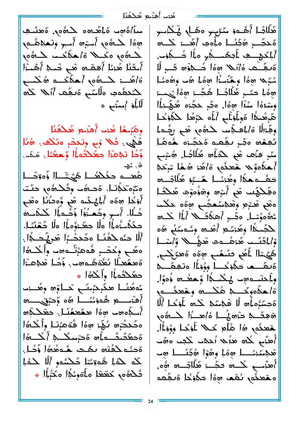هُذِبٍ أُهْزِيعٍ هَٰذِهُنَا

سأَاةُ و مَاهُدوه لِهُ وَمِنْ وَمِنْكُ هِهُمْ كَمَدْهُمْ أَسْبَرْهِ أَسْبِرٍ وِتَعْدَهُمْ مِ مَوْمَهِ وَكَمْ أَنْ هَاهُمْكُ لَمْ دَوْهِ وَهُوَ أَمْثَلًا هُ;ىُا أُههْده هُم خْمِهِ أُهُمْ إ ةاهَـــز لمـــوهُ؟ أهلَكَـــه وهُكْسب لِمُنْعُوبَ وَلَأَمِّنِي وُنَقِّفَ أَآيَلاً آلَاهِ لْأَلْمَا وَإِسْتَنَامٍ \*

وهَبْمُا هُنِ أَقْنِع هَٰكَفُنَا قَمِّي. ثَلاَ وَمِ وِتَعَثَّرِ مَنْكُفٍ. هُنُا وَّحُل تَجْهَزُلُ حَعَّلَاثُمَيُّالٍ وُحَعَّدُلٍ. مَّكَت \$∶ ئى هُعْـــهِ حَكْكُـــا هُهُنْـَــاا وُّهْوَنْـــا ەئزەتدۇتىل. ەَھەم وشَكْدەُ كَتْت أُوْكُلُ 500 أَبْلِيَكُنَّ هُمْ وُءَدَٰنُلُ 5هُمْ حُـُلًا. أُسو وِحَـٰهـُ;ُوا وَٰحَـُـٰهِ اللَّـٰهَــةِ فَـٰ حَكَّمُـزُه أَلَا وَلَا حَكَـزَوُه أَلا وَلَا كَعْنَـُـا. ٱلَّا حنَّه لحَفُسًا محَٰدَـٰـٰٓ؛ا شَرِيَٰـَـٰٓٓهَاْ. ەھُب وڭتىم ڤەھۇتُـەھب وأڭـىھُا هُههُهبُلا يُعْتَفِهُوهوب وَّحُط هَدِمِيْزَا حعَكْثُم}ُا وأَحْدَهُا \* كَمْمَنْـا هَذَّبِدَبْنَــم تَمْـارْهِ وِهُــزَمَ أُهْزَىــــــمْ هُـُموْمُنْــــا ۞ه وِّحَبُوْيَــــــه أَسْلَمُوهب هؤا معمَّعهُنَا. حَمْدَيْهِه ەكَـدَدُو ىُـهُ: وەدُا فُـُقحۇتْـا واَلْحُـهُا ەَحكَكَىكُــەلمُە ەَحىمكــە أَكْـــە ەَحنُـە كَـفُنْن بِـمَّـت هُـومُدەُ الْوَجُـل. كُم حَدًا هُموِّسًا كُحْسُمو ٱللَّهَـلاءُ لِمَا ثَلادُه ) لَا تَعْمَلُ مِأْتَوِيْدًا } . ﴿

هَٰلَاجُـا ٱُهُـهو مُنۡیِّبِ هِمَا لَیۡـُدۡبِـبِـرِ ەُحجَّــ وەُجَّىـُــا مِلْمِجا أَهَـــز كَــــرە ٱلمكن في الْمِتَعَمَــــجُبِر مِلَا شُـــجُوْم. كَانِّفْتُ مَالَاتِ الْمَالِّيُّ الْمَاشَرْ وَالْمَالِيُّ مِنْ الْمَالِيُّ مِنْ يُجِمْهِ وَهُمَا وَحَذَّبُ أَوْ وَهُمْ وَهُ وَوَجَعَلَهُمْ وَالْمُؤْمَنَ هِهُا حَسِّ هَٰلَمَاجُـا هُجَـٰ: ﴿وَاْ يَجِـٰ: وَسْدَدًا مُدْاً وَدًا. دَجَّ حَجَّزَهِ هَٰجَّـٰٓئِهُ! هَٰٓٓڔۿؙٮؘڬٛٳ؋ڮڵۏۦۢڷؠٵ۩ڸؙۄۦٮػۭۿؙٳۦٮٮڮٚۏػٳ وِهَٰ;الْمَا هُ/باَڪِكُمِـــ كَـــهُومِ هُـــع رَضُــما تَجْعُدُ وَجَٰٓ بِكَمْتَ وَجَحَٰٓ وَ حُوصًا مَّى قَوْمَ هُم حَدَّلُه هَٰلَاجُاً. هُـْمِب أهلَموَه عَصِدُه وَاهُد هُهُمْ يَرْتَدِ حَقَّـــه هَذَا وَهُـزَــُـــا هَـــَــَرِّوْ هَٰـلَاجْـــــهِ ەفَكْلُف شْمْ أُبْرْه وْهْؤُهْوْھ هُكْتُـا، ەھْم ھْتْزْمْ وْھْجْسَمْجْسَمْ بْهِءُهِ حَكْسَد مُؤْهَدُهِ ، وَكُبِي أَهْلَاكُمْ أَلَمَا الْكُلْسَ لْكُمِنْݣَا وِهُبْنُـْمِ أَهْـِهِ وَيُـْمِنِّي هَٰهِ وْالِمُكَسَّـــا هُـْوَهُــــــاه هِ هُـــُــــلا وَّاسْــــا هَيُمْالُ أُهُم تَسُعُّمِ وَوَّهِ وَهَرَبْكُمْ. ەُىھْــــە خَلَافْكَـــا وَوُفْئًا ەتھھَـــــهِ وَلَكِنْسُدُوهِ بِكَسْبًا وَجَعِفُ وَدَوَّا. ة/هلّأهوكم ه كُلْم وهُعِدًا و ەَجِمْبُومِلُو لُا فْجِمْكِمِ كُلُوم لِّلُوكُما أَلُّا هْجِعًـــمِ حَرْمِهِــٰ أُمْ هَــزُا لِــْـرُهُ مِ هَعنُه، هُا هُٱم كَــلا لَمُوْكَـا وَوُوَلَٰا!. أُهنَّم لُاه هاُلا اُلهَا لَكُمْ لَلْجِد هَامَ هُجُمُّنْكُمُوا وَالْمُؤَالِّذُ الْمُجَمَّلُ لِهِ مِنْ أهنَّب لك من دجَّـــز هَٰلَماتِـــهِ وَهُم. مصَعْدَى سُمْعَد مِهْ اختِّفِكْمْ مُصَحِّمَة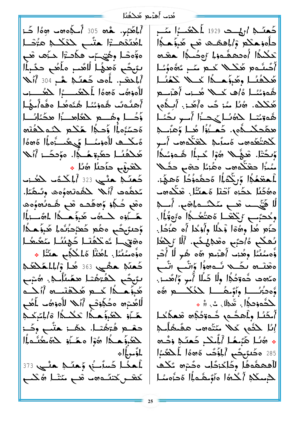هُذِبٍ أَهْبُو هَٰكُفُلُ

آباهُكِبِر. هُده 305 آسكُمومت وودًا كُــز لمُعَدْهِـــتْ حَتَّــــم مُتَّـــم مُتَّدَّـــا مؤمثا وهُتِيءٌ فَهَدْرًا حَزَمَهُ مْمَ ىئىڭى ەھچىل لاھْىب ماھُى حَدَّبِلَا كْمِلْحِقْدِ. لمُوت حُمِّكْهِ مُسْمِ 304 كَمُلا الأدوهُــ هُ١ههُ الْمَكْسَــــُمُ الْكُسَـــزَــ أُهنُـدنَــ هُـدِنْـُـل هُـنُدهُــل دفُّـد}ُــــهُـــل وَّجُبًّا وهُبِّ مِ حَمْدَامِبُوا مِجَبَابُ ا هُحمَّبُوءُاْ وَحِجَّا هَكُم كَنَّه كَفَتَه هُكْــد الْمَشْـــرْ فَي هُـــزُه أَمْرَ مَــرَةَ الْمَسْتَمَرَّةَ مِنْ الْمَسْتَمَرَّةَ مِنْ الْمَ هَٰٓدُهُنُـا حغَّرٍوٓهُــٰهُٖا. ٥وۡحَـَـٰٓ ٱلۡلا لِمَعْدِوْمٍ حَرَّحَىًا هُ الله كَعْسُمْ هِنْسِي 323 أَلْمِكْتُفْ لِلْكُنْبِ كَحْقُوم أَلَمْلا ۖ لَحْقُولُهُ وَوَوه ۖ وِلَىٰهَٰكَا. ەھْم كُـڳو وُھەكَت ھُـم ھُـەلُھۇەھ هَــزَوْهِ كَـــوَٰتُ هَــرَوُ هَـــدًا لِمَوْجَـــزِيَٰا وُحسَّوَّضَم مهُم خَمَّزْحَنُّهُ لَا هُبِؤُسَمَا ەۋقىل ئەتكۈنىل كونى*ئ*ا مىگىغىل وَوْمِمُنُنَا. لمُحَتَّا هَلَىٰكُمْمِ حَنَّنًا ﴾ كَعْتُمْ هَتّْحِي 363 هُـا وْالْمَلْكَلْكُمْ ىرَجِحَى لِلْفُتِهُمْا هِمَىنُأَكِمْ. هُبْطِ هُرؤُهُ الْمُسْلَمُ الْمَحْقَدُ الْمَحْسَنَةِ لَلْمَحْسَنَةِ لِلْمَحْسَنَةِ لِلْمَحْسَنَةِ لُاهُـْـرَه ۚ دَخُلُوۡتَــمِ ٱلۡلَّهَ الۡاُدوٰهُــٰ ۖ لَمُحُــمِ هَـٰٓؤ حَقَرِؤُهـٰٓهُا تَكُـٰهُا ةَالِمَّرِكَـٰهِ حقَّــم فُــْهُـْــا. حهًـــز هتَّـــح وحُـــز لِكَعَبِوَكُمِيكَا الْمَوْلَ مِكْنُوْ لِلْمَوْتَعَيْلُهِ أَ الأمويان أَهَنُا ضَشَرَبُ وَهَنَّهِ هَتَّى 373 كَعْسَرِكْتْتُمْمَدْ هُمْ مُتْسًا هُكْم

كُعِنْكُمْ أَرْبَيْــِتْ 1929 كَمْكْسُرًا مَيْسِمْ دأەوملام ۋالمھھ شى ھُبِوَّمْ ا تَكْتُكُلُّ أُودِهِ قُومٍ رُوحُتِكُمْ! هَقْدُو أَكْسُدُه وَ هُكُلاً كُلْعِ مَنْهِ يُرْهُوهُمْ أَ هَٰكَفُسًا وهَٰدُوۡهِــدًا حَــلا كَمُسًا هُومُنُا هُ/ف كَــلا هُــزم أُقْزَـــع هَنْكُكُمْ. شُرًّا مُنْ حُبٍّ هَأَهَٰذٍ. أَبِـدُّهِ هُوبُسْلِ حَدُّلُ حَدُّرُا أُوبِ بِحَيْلِ ههَجَكَندُه. جَمْدُوْا هُنا وَجَنَنـــمِ كْتْتّْتّْكُەن مُسَلّْبْ لْمَتْكُون أُسو وُبِّتَنَا. مَوْجُلًا هُوْا جُبِياًا هُءِمْمُا سُنُزًا حَقَنُدُهُ مَ مَنْ اللَّهُ مِنْ مَثَلًا لْمقْمُدًا وَرِيَّكُمْأَا هُحِقُوزُكُا هُعَهُ:. ەھْكْئا حكْزە آتتلا ەْھنْتْا. شَتْدەب لًا قَتَّى من قَبِ مُكْسُمِلُهُمْ. أُمِية وكْحِرُبِ رَجِّكْشَا هُحِتُعُكُمَّا وَرُوقُهَّا. حَزَمٍ هُـا وِهُوْا وْحُلًا وِأَوْحُا أَه هزُحًا. ىُھڭم ەُادَىم ەھْدېگىگى. ٱلَّا رَّىكْعَا وُّهِمُنْكُلُ وِهُذِبَ أَهْنَيْهِ وَهُمْ هُوَ لَلَّ أَحْرِ ەھْلىم يېڭىلا ئىمھۇا ۋاتىپ اتىپ دَعْدَدَ شَدَوْتُهُا وِلَّا تَمْلَا أُمِرٍ وَاهُمْمَ:. وُهِ دُرُبُ لِمَ وَأَوُّمِكُ لِمَ لَكُنَّكُ هُو رَهُ وَ حْدُه وَحَدُّل: مَّجْهَلَا. تْ. أَرْ \* أَمكَنُا وِٱهجُم حُدوَدُوْهِ هُمَكِنُدا إِنَّا لِحُدُمِ كَلاَ مَتَدُومَا عَفَّمَعُلُهِمْ ﴾ هُنا هَبُسُا ٱلْمِنْدِ حُمنَهِ وَدُه 285 **ەكىئ<sub>ى</sub>گى آباؤگى كاھ**كا **لَ**الْكَعُبُرا لأههفُوفُا وكُلِّدْرَكَات وكُثْرُه مُكْف لِمُسْكُمْ أَكْتُهُ أَوَّتْقُولًا وَدُّوسُا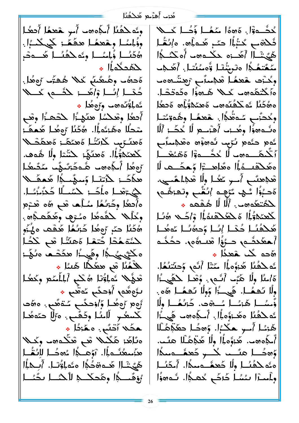هُذِبٍ أُهْزِيعٍ هَٰذِهُنَا

وتُمكفُنُا أَحَكُوهِ أَمِي هَعجَا أَصْحَا وؤلمئا وهعما مفَمّز كَيكبُرا. هُكُسًا وُٰٓءِلمُــا وِحُمَكُفُـَـا هَـــوكَرِ حَقْدَكُمْ إِلَّا \* ەُدەُب وِھُىغَىلّ كَمْلا ھُڪتُب رُوھُل. حُدْماً إِنْساً وْاهْسَۃ حَدَّے لَحَسَنَہُ شَمْ أَوْلَــُه مِنْ وَمُوهُدَا \* أُحعُل ومْحِسًا هنَّجِيًّا ۖ حَجْعِيًّا ۖ وقَّبِ مْحلًا مِفْنُمْأًا. هُكْنًا رُوهُـا هُعَفَّ: ەَھىَـُمِّى لَىَـْتُـٰلُ ەَھىَـصَـٰ وَھىـصَـْـ ِكْعِبَدْوَٰٓءُٖاْ. هُعِنَيۡۦ: كِنَّبَدَا وِلًا هُـوف. رُوهُا أَـٰكُوهِ ۖ هُـُـوكُـٰزِيَـٰهُـ مَنْثَـٰهُـا هكَكُ: حَلَّتْكَ وَسَهَّمَكُمْ هُمَكَنَّهُ لِكَيْتَقِيا مِلْكَةِ لِكَسْلًا كَجَنُّوُّطْ. ەأْئْتْدَا وِخَبْنُغَا مُنْأَلِّفْ شَيْ 60 شَبْرَتْ وكُلُما ۖ لِكَفَّمَعُلِ مَنْهَڢٍ ومُكَفَّعِبُونَ . هُكُنُا حَبْرٌ وَهُدا حُرْبُهُا هُـقَفَ هَيُّ وَ لمُتَمَمُّدًا خُتمَا هُعَتُنَا هُم كَذُا مَكْتَرْبِهِ وَإِلَى أَمْرِضِهَا مَكْتُمُ مَنْهَمْ: الْحُمُ*نَا* مَع معَكْلًا هَىنَا \* شَرْبُلا شَاءُوْنَا هُ كَبِ ٱلْمُلَمَعِ وِكَعُدَا بِرُوهُومِ أَوْجِئُمِ غَوْشُمِ \* رُّوم رُومُا وُاوَحنُب مُتَمَّى وهُت كّْسعْبِ ٱلْسُٰا وِكَفَّبٍ. هَرُلَّا حَمَّمُحا هكُدْ أَتْشَى. مِمَّزْتُلْ \* ەئاھە ئىگىلا ئىم ئىنگەھە و*ڭى*لا هِنَسِعُنُــهِ أَل. ٱوَّحـــهُ الْـ يُحكَّـــا لِلِنُغُّــا هَيَ تَبْلًا هُدةَ دُدًا مَدْءَتُوْنِيا. أَبِيدَاً رُوَهُــــــكُمُل وهُحكــــــــم للَّـكــــــــل بـحُــُــــل كُثُّدَوْلَ. هُ‰ا مُكُمُّلٌ وَكُبَّلٌ كَبِيْلًا ثَلادْمی كَتُبِهُ احصًا هُـهِٱه. هِ/ِنُغُـا هَيْتَمَالُ أَهْبَهِ حَكْمُهِ وَسَنَّمَ الْمُتَحَدِّدُ مَّعْتَمُّجُّا وَتَرْبُثُمَّا وُّومُئُنَّا. أَهُدْب وكنوت هعما هلاسأب وهشاهوت وَٱلْمُنْعَوِّوْمِ ۖ مَا لَهُ وَوَٰا ۚ وَكُوتُهُ ۖ أَ ەھُكَىُلْ شَكْحُمُەم ەُھىُكَاوُّلُّە ەَحْكَلْ وِكْحَنَّبِ حُـٰمَقُٰٰٓهُۢۢا ۢ. هَعْهُـا وِهُمْوَحْنَـا ونُــوووُّا وهُــزم أُهنْزم لَّا حُجَّــز أَلَّا ثُومِ حنَّهِ رُكِّهِبَ ثَهُ هُؤُهِ وَهُدْمِنَّمَ ۖ ٱتَّكْتَكَــــــــوه لا كُــُـــــوةَا وَقَبُعْـــا وهُكْقْسُوْءُا وهُاهْشَارْ وُحْصَّىمَا لَٰا قَدْمِعتُبِ أُسِرٍ مُعُسَلٍ وِلَا قَدْمِا هُسِي. هُدبُوْا سَّنِى مُرْهِد إلنْقُبِ وِتَعْبَشُو لمَعْتَبَعُه مِن. أَلَّا لَا هُدْعُهِ \* كَعِبْدَةُ أَلَّا هَ حَعَكَصْمَةُ أَلَّا وَاصَّلَا ۖ هُ سَا هُكْفُسًا حُكْماً إِسُاً وَحَدَّسًا عَمِمُـاً أَحْقَدْشَــٰم حَــٰرُوُۢا شَنـَـٰهُ، حَكُنُـُـٰه ٥٥ لَم هَعدُا \* هُمكفُلًا هُـٰزَوْمِهَٔا مِّتْلَ أَنَّم وِّحتَنتُمُا. هُ/مِلًا وِلًا هَٰٓئٍم أَنَّـهٍ. وُقِعا كَلَّهِي أَا ولًا يُحصًا. فَي أَنْ وَولًا يُحصُّلُ هَو. وُّحِمُـــا هَٰذِيَـــا عُــــوْت. كَٰذِيُـهُـــا ولًا ثَهِ لِلصُّلَا هِ هَٰذَوْهِ اُلَّ أَسْلَمُهِ هَا صَحِيْرًا هَٰٓٓٓئِكُمْ أَسِرٍ هَكْـٰٓءُٳ. وَهوُسًا حقَّةِهُـٰلَا أَىكُوهب. هُنزُوءُا وِلَا هُدَّهُمُا عنَّب. وُهدُما هنُسم كُلّب دُهڤَسمِماًا ودُكْفُه ولًا خُعجُدُوسكُمْلِ أَيْحُبُهِ ا وِلْمِيزَا بِئِسًا جَرَجَمٍ يُحِجُّوا. شَوْوَوُا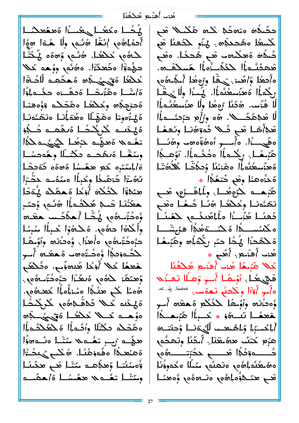لمشكم مقاسية انمستشر للمناس أستكن لمستكر أَحِمُّهَاهُم إِنَّقُا هُنَّم وِلَّا هُدًا هِهَا لَّتُمْنَ وَهُمَّةٍ مِنْهَا. ﴿ وَلَا يَمْكُنُ حؤْءَوّْا هكَعْكَرّْا. هَهُنُّمْ وِوُهُمْ كَلَّلا لَحْلَاظُ وَتَكْسِيُ مِنْ مَسْتَوْمَ الْمُكْمَدِ ة/شَّــا مكَتُبِّدْــا هُجِفَــزِه جِدّْــولِوُّا ەَحرَجدُۥ وىُللغُـا ەھَـٓكـە وَوُّەھـَـا هْدِيَّووِيْلِ وَهُمْ لَلْهُ وَهُدَءُكُمْ وَلَتَعْبُونَا لِ ەْلەنسە كْرېڭىكا ەْيەھىم شاي تَعْتَمَدَ مَرْمَدًا لَّكَيْنَ صَدْمًا وسُمْهَا هُبِعُدِد حَكْتُما وهُوحِسُه ةالمئمّن كع همّسًا هُههُه كُةَدَهَا تَهْتْزَا خَرْهُىدًا وِكْرِيْمًا مِيْمُوْتِ حَذْرًا مندرْوَا لِكَكُلُهَ أُوْحُلَ هَجِمَكُمْ بِثْقَامَا حَمَّتُنَا دَحِهِ مَحْدُوبًا هُنُو وَحَبَّرِ وْهِ حُتَّ وْهُ مِنْ أَلْمُ الْمُؤْمَنِينَ لَّمَ هُدُو وِأَكْمُّا حَقُّى. هَكْمُوْا كُبِلًا مُبِّلًا حَزْهِ حُتَّمِيُّهُ مِ أُهْزًا . وُهجَّرْتُه ۚ وِأَوُمِكُمْ لْمُشْدَوْدَةُا وُدْخُوا وَدَ هُجَعْدُوا أُسْرِ هَعمُا كَلا أَوْكُا هُدُهُوَّبٍ. هَكُلْعَمِ وَهِيَكُمْ لِحَدُّوهِ وَسَكَّرْاً حَرُّهِ حُتَّبِ وَهُ يَ هُومُا كُمْ هِنُّهُا وَسُنْهُومُا كَعْدَةُوم. ەلمى كىلا ئەقۇھەر كىگىنى هؤسون تفكيد للمستهجمه وهَْصْدْ دَكْتْلَا وِٱضّْوَلَمَا هَ حَمَّحْشُوبَ*اْ*ا هؤك رئب ثمُـــه مَنْـَــا منُـــهوزًا هُعَبُرٌ مِنْدُمٌ الْمُعْدَوَّا لَهُ عَلَيْهِ وَهُوَ الْمَعْدَةِ الْمَعْدَةِ الْمَعْدَةِ الْمَعْدَةِ وْْوِمُبُنَّا وُمِكَاهِدٍ مَنْتَا هُم مِكْبُلًا ومَتْتَبَلَّ تَهُــدَ بِهُ مَمْسُلِّ وَأَرْجَعْتُ

حَصَٰٰہُ۞ ٥،٥٥کَمْ کُلُّہ مَکْلًا مَّع كْسِعْلِ مِفْحِدِيَّةٍ فِي حَدَّقِيلِ مَع ضَمُّهَ هَمِكُمُهَا هُم هُدَمًا. وَهُمْ هْهِدُنُـهِ أَمَّا لَلْكُمُــزُّهِ أَمَّ لَهُ مَسْلَقَــهِ. هأَحَمُوا وَامَّد: حَكَّفًا وَوَهِمُا أَحَكِمَةً لَكُم الْمَالِمِ الْمَسْتَمَالِ الْمَسْتَمَرِّ الْمَصْرِينَ مِنْ الْمَعْرَبِينَ مِنْ الْمَعْرَبِينَ لًا قُنُم، 3كُنُا رُومُا وِلًا هِنُمْمَعُنُـْمِلًا لًا مَدِهَكَـــــــلا. هَه ورُأَهر حَرْحتَـــه لِمَا هَجأَهْا هَي شُلا ثُووهُنا وتَعهُا وَهَيْ أَ. وَأَسِيرِ أَوْ وَقَوْمِهِمْ وِرَهُمْ الْمَسْرِ هُبُعُما. رِجُدهِلَا وحُثَدِمَا. آؤهجُا ەَهنُمھُنُوءُا وهْنِئْا وُحِدُّتْ لَلأَهُ ْلَـا هُجْوَهِمُا وقْعٍ جُتِعُكَٰۭا \* هُبْعَــد كْوْهِ هُــا. وِلْمُكَــوْهِ هُــع تقنَّفلا وحُلَّفُا هُنُا ضُهُا هُم كَعنُــا هُنُـــُ:ٰا هِلْإِهْتِكَــهِ لِكَمَنُــا مكْسُـــدًا هَـكْـــتْمُدًا هِمَّيْتَــــا هَ لِأَهْدُا لَهُ شَٰلِ رَبُّكُمْ أَن وَهُبُسُمَا هُذا أَحْنَوهِ. أَهُمِ \* كَمَلًا هَٰذِهَا هُذِي أَقْتُمِ هَٰكُفُنَا فَحْيُهُا. آَوُجُما أَبِ وَمِلًا تَعَيَّد هأمو أَوْأَلُ وِكْحَلُ لَعَقَّمَ وَاللَّهُ وَاللَّهُ وَاللَّهُ وَاللَّهُ وَاللَّهُ وُودَٰنَه وَآوُمغُلَّا لِكَنَّلَامِ هَـعَـنَه أَسو هَعِمُا نَبِ هُوَ \* خَبِيراً هُبُمِ الْمُ أَبِلَكْسِبَٰهِا وَلِمُعْمَدِ الْأَيْحَاسُ وَحِتْنَــْ هَ هزُم كتبُب هِهَ هَنَا. أَحَبُا وِتَعجُم دُّـــــــــــوَكُمُّا شَــــــــــــمُّەب لْأَهْمِعْدُه الْمُمْم مِثْعَاه مِهْلَمْتُفْمِهُمْ قب منطوّْماشُى ملَّده مُو وُمعنًا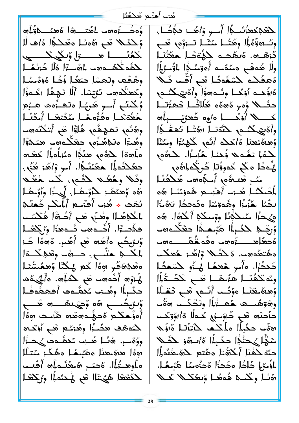هُذِبٍ أُهْبُو هُكِفُلًا

وُوحُـــذُوهم لمعُنـــة والمَعنَـــدوُّلُوه وَجْحَمَلًا هُم هَٰوَسًا وَهُحَجًّا وَاهَ لَٰا ككنسا مسئول وسكيكم لَحْقُه تُكْفَ وها مِنْ الْمُوَالِّ وَالْمُ كَانِكُمْ ا وهُفْعا وِتْعِشَا حَمْعًا وَّكَا هَوْهُسُا وكعثّدهم تُوّتِسْا. أَلَّا تَهِعُا بِكُدوُا وُكْنَبُ أَسرِ هُربُ] وتَعَـزُوها هـرُم<br>هُمُّة ْقال وفُرُّوهَــا مَّفَتَعْــا أَيضُـٰا وهُنُم تَعْهِقُمْ قُاوَّا مْعَ أَتَكْدُهُمْ وِهُنْزَا هِلْكُلُّوَى حَعْثُكُمُومَا مِنْكُوَّا هَاهُمَا لَحْدُوبٍ هِنُكُما مِنْهُمَا كَمْعَـدِهِ حعَلَاحُماً العَعَيْنَيْجَا. أَس وْاهَٰ: هُنِّي. وِثَلاً وِهُعَداً لِمُشَهَّبٍ كُمَّا هُعَكَّلًا هَٰه وۡعِمۡهَٰۂ ۖ حَذۡوَۡ صَٰا ۚ ﴾ ﴾ ﴾ ﴿ وَأُوۡ صَٰا تُھُت \* هُٰذِب أُهْزَسِعِ ٱلْمِكْرِ كَعِنَـٰهِ لمكلاهُماا وهُنّي هُم أُحُـرَةُا هُـُمْسَــ هِكُمِيًّا. أَكْدُهِ مِنْ كُدِهِدًا وِرَبِّكْعَمْ ا وَّىئَىضٌم وأَهْده هُم أُهُدِ. وَهَوَا حُــٰٓءَ لْمَكْمَ هَنَّبٍ. حَسِقُ وِهْدِكْمْ وَا ەھْكِمَەھُر ھِەُلگى كِكْتَا وَھْمُتْتُمَا لَے وَ الصَّده عَمَّ حَدَّلُهُ. 10 عَمَّلَهُ حدٌ إِلَٰمَ الْمِحْنَاتِ كَحَمَّــهِ وَالْمَعَمَّـفُـالِمَعْلَى وَالْمَعْلَى ۇلۇپمىسى %ە ۆچىلىشىسى ھىسىم أُهزَّهلُكُم هُدهُده هُنُوت اللهُ اللهُ لمتوهف هدًىـزًا وهُنئـم هُم أَوْتَدِه وَوَّةَ سِبِنَ رَهُ نُسْأَلِّ هُدِيَتَ شَكَحْسُوتَ زَيْنَ الْمَرْسَوْرَ الْتَمَا هَدَهُ عَلَى مَعْ مَعْدَ مَتَتَلَّلَّا مِلْوِهِ ـ زُٰٓءُ أَ. ۚ هُدَ هُمْ مُحُنُّـ هِ لَهُ ﴾ أَهُـب لَحْكَمَوْا هِيَمْنَالَ هُمْ يُحِدُّهِ أَمْرَكَكُمْ الْمُتَوَجِّدَا

لِمَعْلَمُكُمْ زُمَّــ \$الأَــــو وْاهْـــز دِهْشَــا. وِيَــْدَوَّهُۚ إِلَّا وَهُنْـَـا مَنْنَـا نَــزَوْهِ هُــو كَرْهْدِهِ. هُنهُدے حَجَّةُ دَمَّ حَعَيَّتُ ا وِلًا هَٰدهَـٰمِ مَمَّدُـٰد أُدْتِـٰهُا لِمُتَّـٰوَا لِمَنْ الْمَحَلَّى هُهفَكُمْ خَشَعُوصًا هُم أَقَّب شُلا كَافَكُمْ أَوْكُمْ وِشُدْهُوْ وِأَوْنَ كُمُسَمْعَ حثَــــلا وُمرٍ هُ∞هُه هَٰلَاتَـــا تَــعۃُنــَـا كَمِّكْمَ أُوْكُمْكُمْ هَ رُوهِ خَعْرَتِهِ بِإِلَهِ وأَوَّنَ كَتَّدَا الثَّقَاءُ الْمَحْشَرِ الْمَحْشَرُ الْمَسْتَدَبَّدَ الْمَسَاءَ وُهِدَهُتِهِلًا وَاتَّحِكُمْ أَنَّمَ كَلَّهُنَّةًا وَمَّتْلَ لِكُمُ تَعْدِيدُ وُحِبًا ۚ هُنُوسُوا ۖ كَرْهُ مِنْ يُّءكُل مَكْمٍ يُدووُّنْل كُمِيكُمْ لِمُعَاهِدِ - مَنْبِرِ هُنْدِوْهِ } أَسْلَمُوهَا هَٰلَكُفُنُا } لَمْسَكْمَا هُـزم أَهْزَمِ هُـوزُمُمَا هَ ه لَّكُمُّا هُنُّنُا وِهُوتِيْا وَكُوكُمَا لَهُ مُأْ يْحِزًا مِّىحَكُمْلَا وْمِسْكَةِ أَكْتُوا. رَهُ وُرِجَــِمْ لِكَــٰبِـاً هُبُــمـدًا حقتُــٰـهِ م هُ حَمَّا مِ مَسْتَوْمِهِ مَقْدَمَتُمَّ مَ مَحَمَّدَ ەھُتكەھ ، ەَلْمُثْلا ۋائْد مُعكُ كَحدُّ!. ه/ٌس هَعهُا لِيَّهِ لِحَسْمَا ونُوكْفُسًا هَتُوهْدا هُبِ كُكُنَّهُ ا وَهِدَهَ حَقْسًا وَوَّصًـٰب أَنَّـٰهٍ ۚ قَدْ الْمَسْلَمَ لَـٰهَـٰلَمَا وڤوّقُمسِها هُهِ تُذا وِلْتَكُمْ هِ قَام حاَّجتَه هَي خَوْصِيُ كَجَلًا وْالْوَقِكْبَ هَةٌ حَدَّبَلًا مِلَّكُم كَلَّتَرُبَّا ةَوَهَ سَتَيْلِكِحْتُمُ! حَكَّرِيًا! هَاسِعَةٍ حَدَّمَا! حنّفكفُنْا أَكْرَةُ مَا مكْتَم كَرَةَ حَفْدُوا لمُؤْمَىٰ كَلَحُل وَحُجُلَ وَحَزُّومِمُل هَٰزُمِهُـلَ. هُنَا وكُنْكُ فُوهُمَا وُتَعَكُّلُا كُنْلًا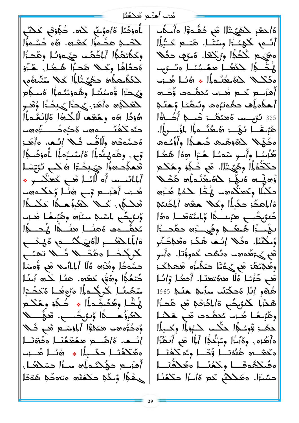هُذِبٍ أُهْزُبِهِ هَٰذِهُمُا

لْمُوَدُّمُا هَاوَمِّنَّ لَاه. شُكُّوْتٌم كَلَّلْمَ لْكَسْبُرْ عَجُمْوَا كَعْدُهِ. وَهُوَ جُشُووُا وكَكّْتَكُمُّا ٱلْمَحَّفَ حَيْءَنَّا وهَٰدَ:ُا هُحكَافُا وكُمِلاً هُحِزًا هُبِعُماً. هَنَّوْ موهْشْدْ مَكَمُّ الْجَاشْرِهُ عَاهُدَالْمَكَمَّةِ مِنْ مِنْكُمْ وَيَحْتَرَا وَّْمِمُتُمَا وِهُمَوْمُثَمَماً مَسَجَّع لمَعْلَمُهِ ۞ وَأَهَٰذٍ بِ يَحِدُوا يَ بِكُمُوا وَقَدَّتِهِ وَالْمَسْتَمَرُّدَ مِنْ الْمَسْتَمَرُّدَ هُوْدًا هُو مِعْعْم لَاحْدهُ! وَالرُعْجا حثَه تَكَفُّسُـــــه مَ حَزْهِ دُـــــــتُوهف ەَحِشَەدُە وِلَاقُب ثَــلا إِنـُــه. ە{هَٰــز وْمِ . وهُمْلِنُعْوَا هَامْنُمْ وَهَا الْمُوْضُجُّا هَـموَّاطِ حَكِيضًا ﴾ هَـلب أَلْمَلَنُسْسِبِ أَهِ لَٰٓائِسَا هُبِ كَعَنَّكُسِّرِ \* هُد: أَفْنُدِهِ فِي هُلُّا وُحِكْدُهَا تَعْكُمُو. كَمَلا كَتَكُبِؤُهَمَا تَكُمْكُمَا وَّبَّهِجُم لِمَيْهِ مِنْزَهِ وِهَبَسُلْ هُـزَب كَحَفْـــوت وَهنُـــا هنـــداً لِمُحـــداً وقحلي وككريتها بكفك لمأاة كَعِيْدَهُــا مَمَّـْــلا فَــلا تَعْبُ حسُّمطُ ومُنْزَه هُلَّا ٱلْمَلَّاسُدِ مْعِ وُّمِسْلَ دُّتِمُمَّا وِهُوُّ كَعْدُهِ. هِنُا كُلُّهِ أَسْلَ مَعۡمَىـٰـٰل كَٰدِكُـٰہِ أَل ہَوۡمَـٰلٖ ہَـٰٓدَٰـٰٓٓٓٓٓٓٓٓ ا هُتْما وِهُمُبُمِهُا ﴾ دُلِمُو وهُكُم للطَّبْفُ هِـــدُّا وَبَنَيْحُمـــبِ. شَذَّـــلا و۫ۉۘۮؘػؚۉ؈ڡػۮۊٛٳۦڷؠڶۏۺڡڔۦڞؠ؞ڟٞڰ إِنَّــم. هَ/هُــــمِ مَعْقَعُنْــل هَدُةَنْــل ەھَتْݣُوْنْسَا جِئْسِياْلْ \* لْمُسْسَلِ هُسْبَت أُهْبَع حَمْحَتَ ءِلَمَ سِأَل حِسْحَعُهِ . لْمَعْدُمْ وَسَكُمْ حَكْمُلْهُ مِنْهُ مَنْ مَتَّوَجَّلَ هُ/حَمْرٍ كَحَيْتَاا مْعِ دُفْءَوْا ه/ْــدَّب أَنَّــمٍ كَلَّهُــُزًا وِمّثَــا. هُـْــع كَــُّزْفًا لُخُّـــوا لِلْكَعُــا مِعْمَسُنْـا وَنَــوَبِ ەڭگىلا ئەھتئىشقى بار ئەئىل ئىبنى أُهْزَىهِ كَسْعَ هُسْزَى مُحَصَّدَت وَّقْسُهِ أهكُولُك حَثَّدتَوْهِ وِنُتَمَّمَّا وُهلَكَم 325 لَوْمِــمه هُهْكُمْــ; تَمــهِ أَكُـــةُ هَبُعْضًا نُهَّبَ هَعْنُدْهِ اُلْذَكِرَاْ. ەكْھْلا كەۋىگىى كىمىدا وآۆَيەھ هَٰزُمُـٰا وأُسب مْعَمْـٰا هُـْرَا هِ٥ُا هَٰعُـٰا حكْثُهُ أَا وِهَيَّ ثَالَ. هُم حُكِّوْ وِهَكُمْ أَوْهِ إِنَّ مَا أَوْ الْمُعْلَمَةِ مِنْ الْمَعْلَمِينَ مِنْ الْمَسْمَدِ الْمَسْمَدِينَ مَكْمُلا وِكْعَنَكُمُ مِنْ لِمُشْلَا حَدُّ مُحْتَوَى ةالمعدِّذ حدِّباًا وكلا هعْده ألمَّحْتهم دَّىرَّىبَ هزَمسلاً وَلِمْتَمْسَلِ 160 لِمُسْأَلِ هُبِّكُمْ وِفَيْ آهِ حِفْحَازًا وَمِكْتُبًا. وَثَلاَ إِنَّـمٍ هُكَـٰ; وَهُدَكِّـٰبَ هُم يُءْهُده منْهْد گُدْوِوُّلْا. 10ْمِر وِهَٰذِكُمْ مَنْ اَتَّهُمْ كُمْ أَسْكُمْ وَالْمَعْلَمَةِ وَالْمَدَّمِكَةِ وَالْمَسَاءِ مْبِ كُتُمْا هُلَّا هِمَّتْعَنْيَا. أَحْفُا وْابْتَا هُدْوِ إِمَا هُدِكْتِمَ مِنْهِمٍ هِمَّةٍ 1965 هَذَا كَلَّرُبِكُم ةَالْمَرْدَهِ شَ هَدْ أَ وهَبْسُا هُـن مُحفَّـد شَـح هَـدُـا حَكَمَ: تَوِسُـٰٓهَا حَتَّف حَـٰٓ؛ِفَهَا وِحَـٰٓبِلَا هِ أَهَٰذِهِ . وِهَٰٓأَمَٰٓاْ وِمَٰٓئِكُمٗاْ أَلَمٗاْ هُم أَنفُّذَا مكعْده هُنَّفْسًا وّْحْسا وِغْمَكْهُسًا هفَىٰذَهُوشَــا وِكْمُنُــا مَعُكَفُنْــا حسَّتْا. وهَكلمٌ كَع وَّاَــزًا حَكْمُنَا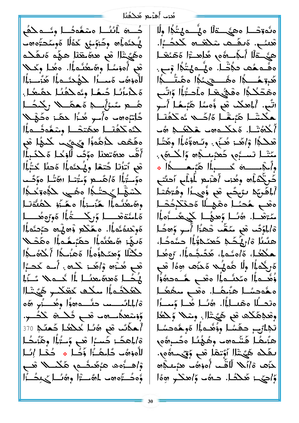كُّدُ الْمُنُّا مِنْعُوضُا وِنُــوحُفُّ لْمِحْدَّەلُمْ وَحُرَّضِي كَدُلُّا هُومِئْحَرَّەھ مكفَّة مهْمَ النَّقْدَة هَوَ عَلَى مَعْلَمَهِ هْمِ أُدْفِعُهِ ۖ وَهُمَعُنُدَةًا. دَهُما وِكَمِلا للْأُدْوَهُبِ هُمِيدًا كَذُبُكُمْ وَلَمْ تَحْبُسِنَةً الْمُؤْسِنَةِ هَٰ جُرُىٰرُنَا ۖ حُـمُـا وِنُوحَكْنُـا حِمَّىٰ دَا. هُـــو مُبرُ ُـــدٍ هُـمهُـــلا رِبْكَــدًــل كُلْتَبْوەم وأُسِرٍ هُـزُا هِمَّزَ وَحَهْلًا لأئه تكفُسْه معَمَّدْهُا وسْمُودُ ولَم وفَهْم لِمُتَوَوَّا وَيُحَيْبِ لَمُنْهَا هُم أَقُب هوَ تعنا ووُكَب لِّأَوْكُمْ وَكَكْبِلًا ا هْمِ ٱتِبَٰرْنَا خَتِـهَا وِيُحِثَمِهَٰا وَحِبًا كَـٰٓءَٰٓءَٰا لَهَ ەۆستۇلا داھگىسى ۇمتىسا يەتتىل دۆگىپ لضُغْهَايِحتُمُ! مصُبِي لِحُبُوبَةِ اخْتَمَرُ وهَعْنُدَيْا هُنُنَا ا مَكْنُو حَكْمُتُولَ كَمْمُتَوْصَّـــا وُرِيكَـــتُوْلًا هُورُوهُــــا هُوتَنفُهُ أَ. هَ هُكُمْ وُهِ يُهَ حَزْمَتُهُ أَ كَاحِمًا وَمُعُنُومًا حَجَّىُهُمَا وَأَصْحَلَا لَمَنْ الْمَسْرَ حكْتْلَا وَمحْـكوْهِأَا هَجْنُـجًا أَكْثَهُ ـجًا هَم هُـْرَه وْاهُدْ كَلِهِ. أَسم كَحبُرا لْمُدُّلِ هُجِمٌ حِينًا لَمَّا يُحْسِمِيْنَ مِنْ يُنْزِلُ لمَعْلَاثُ وَأَوْ سَكْتَ كَعْكَبَ هَيْشَالَ ة/لملنَّـــــــــــ حنَّــــه وهؤا وهُــــــزُمٍ وهُ ه ۇوشىنگەسىمە ئىس ئىلىش ئىئسىر. أَهْلَمُتْ شَمْ هُنَا مُحْقُداً شُهْنَجْ 370 ة/لمصَّـ: حَسـُرا هَـــ وَسـُّهْا وِهَّنُـحُــا للأُدوٰهُ- كُلِّمُخُ أَوْضًا ﴾ فُحْل أَكْثَر إِنْسًا وْاهِــزُه، هزْهُدشُــه هَكْـــلا هَــم وْهِ صَـٰٓوَهُ صَـٰٓوَا وَ وَهُ صَـٰٓا حَ مِكْتُواْ وَ

الْمِ الْمُتْرَمِــــوْ الْقَـــرْكَ الْـــوَيْمَاه قْبَيْبِ. ەَبْغَى شْكْفْ بْهِ كْدْخُرَا. هَيْحَةُ أَسْلَمُ مِثْمَى هُلِكَ أَسْتَرَبُّطَةً هُ هُدهُم دِيَّتْ أَنْ مِنْ وَلَيْتَهُمْ إِنْجِي. هْيَ تَوْسَى الْمُدْرَى فَيْ الْمُسْتَمَاءُ مِنْ الْمُسْتَمَرَّةَ الْمُسْتَمَرَّةَ الْمُسْتَمَرَّةِ ا مڤتْكَجُّا مڤيُّهْدا مْلْحَتُّها وَاتَّب الَّبِ. أَلِمَعَكُمْ هُمْ ؤُهِمُا هُبُمْطَا أُسْرِ هِكْشَا هُرُخْمَا هُ/حُـــلا عُوَكْتَــا ۖ أَحْدَّةُ ثَمَّلْ هَدَكَ ءِ هَدَ هَدَهُمْ جَ هُ تَعْكَمُوا وْاهَدْ: هُنِّي. وِسُدَّوَّهُ إِلَّا وِهَنَّا مَتْلَمَّا تَسْبُوبَ خَعْبُنِيْهُ وَالْحَدَّةِ . وأكم فسنسبؤ تكسبه أالمحتمد مكرابه كَعِيثُكُمْأَاهِ وِهُذِبٍ أَهْنُوهِ لَمُؤْلَمٍ أَحتُنَـمٍ أَلْمَفْتُمْ لَا مِثْمِنْ مِنْ أَوْلَى الْمَوْمَةَ وَالْمَسْتَمَرَّةَ مِنْ الْمَوْمَةِ وَالْمَسَرَّة ه مَعْمَا مِهْمِىلًا مَحْتَجْبُحُصْل مَّتِقْدا. ھُنُّا وَهِجُّا كَبِيْقَتْ وَهِ ٱ ةُالْمُؤَكَّبَ هُم مُنْقُّبٍ شَعْبًا أُسِرٍ وَإِهْشًا هنّنا ة/رِيَّحَـهٖ حَمْـَـٰاوُّ أَا حِنُوحًـا، هَكْتُدًا، ةَ/ەشْمِهْ، شَثَبْتُمْلًا، رُوشُـا هُرِيْكُمْ}ا وِلَا هُمْهُنَا هُدَوْهَا هِوَا هُم وَٰهُــد}ا دکنــُـد}ا دهَـــ هُــددهُوَّا معُوصُلِ هِنُمُا. وَهُبِ مِعْعُلِ ەتئىللا ەھىللەك ، ھۇسلى ھىلى ۋىسىدا وتَعَمِّكُكُمْ تَعَ هَيُخْلًا. وَسْلًا وَكَحُلًّا تكلؤب حفَسًا وؤُهُّداً أو هُوحُداً هَزَمِكُمْ هُنَيْدِهِ وَهُؤُمُّا وَهُدِرُهُ وَ ىفَكْ هَيْتْاا آوُتْقَا مْعِ وَقِيْحَةُو. لِمَوْهَا وَأَزَلَكَ لَاقُبِ أُودِهُ مَوْسَلِمُ مَنْ الْمَرْكَبَ وَّاحِيْ: هُكْشًا. حَدُّبٌ وَاهْكُمْ وَهَٰا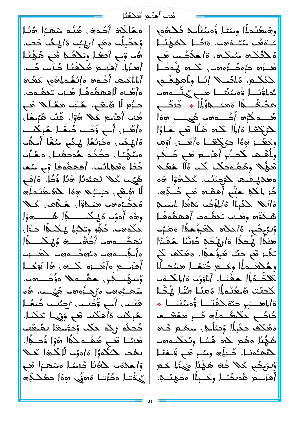مَعْلَكُةُ أَخْدَةٌ. هُنُّه سْعَبُرَا هُنَّا وُحَدِّيْكَ وَهُمْ أَرْبِيَّتَ وَأَيْتُ ذَهَبَ. هَٰٮ وۭۡٮٖ أَحفَكَ وِتكفَّٰهِ هَــم هُهُنُـا أهيّاً. أَهْنَدِ هَٰلِهُمُا كَـأَمَّ كَـبٍ. ٱلمِلْكُمِيمِ أَشُوهُ وإِنُغُوبِهِ وَأَوْهِ بِمَحْمَدِهِ هِ ٱهٗ ذو ٱلعَمِّعُوصًا هُـزب مُحصَّـوت. دَءُم لَا هُڪُم. هُنُم همَلُم شَم هُذِبٍ أَهْبُومٍ كَذَلا هُوْلَ. فَتُبَ هَٰذُهِ أَرْبَعُلَ هأهُد:. أَبِ وَّحَد خُمهُا هُرِكْت هْ/لِكُ، وَدَّالُهُا لِكُمْ مُقْلَ أَسْلَمُ ەمَكْمُا. دېگە ھُەدەُبا. ەھَزَى دُمْا ەھْجَانُس. أَقْعَقُوقُا وْمِ مُكْفَّ هَيُب كَمْلا تَعْتَمَنُا هُنَا ؤُدًا. هُ/ڤَم لَّا شَعْبَ. حَبَّبَ لا مِمَّا لِحْمَعْنُـمْ مَا كَحْشَرُه وه عَمْدْوْلَ. هَــدْه . كَــدْ وڤُه أُهوًب هُلِمُكْمِسْسِمُوا هُــــــــووُا حكَّده -. حُكِّفٍ وِتَكْبِهِ لِمَكْتُبُهِ الْحَيَّارِ. تَهَدُّــه» أَدُةْ ــهُ وَلِكُــهُ ا ه آگیگسده به مقصده متحد در سنگ می أُهْنُوْ والْمُعْسَنَ كَلْمِ وَالْهُمَا أَوْلَمْكُمْ ا ۇسۇسىگېر. ھىقْسەللا ەۆكسىيەت. مَّهِ بَصِيرَهُ حَمَّدَ مَنْ مَنْ مَنْ مَنْ فَنٌـد. أُنــع وُّكَنــد. رُحِنُنــد كُنغُــا هُبِكْسٍ ةَاهْكُس شَمْ وَفِيْهَا تَعْكُمُا. دُهنَّه رَّيِّكُم هَكُد وِّحَتَّمِيْقَا بِمُتَعَلِّب هُنسًا هُــم هُـڤُــمكْمُّا هُوْا وُٓحــجُا. ىئقت تْمَكّْدْوُا هْاْدْوُبْ لْالْكْتْدَا كْتْتَلَا وْاْهِدْهُمْ لَحْمُلًا دْسُلُ مِسْعَـرًا هُـع كَتْمَا وَحَتْمَا وَهِ مِنْ مِنْ السَّنْدَةِ مِنْ السَّنْدِيَّةِ مِنْ وهَعْنُدَمُا ومُمْلُ وُدَمُنُلُكُمْ شُكْرُهِ وَ ئەھّى مىڭ ۋەب. ەَائىل لاھْھُلْل ەَكْتُك مَىْكە. ةاھكْتَس تْ هُـــٓ;ه حَزَّەخُــتُوهب. كَـــه لِمُّـهَجُــل لْمُنْكُمْ. هَٰائُسْكُمْ إِسًا وِأَعْمِفُمْهِ مُعَاوَّتُ لِـ مُسْتَسَمِّ مِنْ مَسْتَمَامَةَ مِنْ مَسْتَمَامَةَ مِنْ هحَىقُــــدُ) هَمـُـــــدُوَّـدُا ۞ حَرَحَـــــع هُـــــــهُمْ أُخُـــــــــه هُتَي بِ هِمُّ كَرَبِّكْمَا وْالْمَا كَلّْهُ هُـلًا هُـمْ هُـأَرُا وكُعَف: هِهُمْ حَرِّكَتْكُمْ وَأَهَدَ: أَوْهَبَ وأقبعه للحنو أقويم شب جُسمو هَيْمًا وهُدَّءتُكَ لَكَ ةُلْا هُفَكَ ەقدام قىھ خومئىك ئىلمۇزا ئەە كَ الْمَلَامِ هَنَّم أَهْدُه هُم كَنْبُرُه. ةَأَلَمْ لِلْكَبِلَا ةَالْمُؤَكَّبِ مُلَاَّهُا لِمُسْلِم هْكُزْه وهُـزب مُحمَّـوب أُهههُوكُ وَمِرْجِحُبِ. هَ/مثلاه للطَّبِوَٰهِمْ هَمُدَا هَمَّيَت هندُا ۖ يُحدُا وَارِيَٰحَهِ حَرتَـٰا ۖ هَـفَـٰتَـٰا ۖ مَكَّمَ: هُم حَتَّتَ هُدِوَّهِجًا. هَهُكُفَ لَكَم وهُكْشُدهُا وكُلُّع دُتْهْلُ هِنْدَلًا تْلاَتُــدُهُ أَلا هَقُنُــل أَلمزوَّب وْالْمِكْــدَّب كْحِنّت هُـعُنُـماً ا هُحِنًا ابْتُـٰا لِمُـثَّـا ة/إهـــــثِرِ حَتّفكفُتَـــا وُّمنُتُنَـــا \* كُلِّكُمْ وَلَاهُ وَاللَّهُ وَاللَّهُ مَا مَعْقَلِهَا ەھَكُ دېئا ۇتئابە. مىھەر ئە هُهُلًا هِھُم كُلُّهِ فَسُلٍ وِنَحْكُمُوهَ كْتْعَثّْمَلْا. كُـزْلُو وِمْـرٍ هْـع وُّـهُنْـل وَّسَرَّمِيكُمْ كُلاَ حُثَّ هُؤُمُّلُ وَيُنَذِّلِ كَبِحْرِ أُهْزَىـــع هُدِيحُـُــا وجُـــزِيمًا وكَهِنَــج.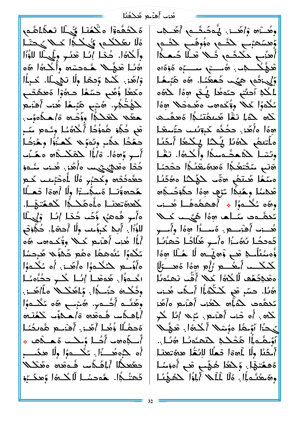وَحَدُدُهَا الْرَبّْعَ الْمُمْتَاهِ وَحَقَّدَهُمْ مَعْلَمَةٌ التَّصِرُ / كَمْ الْمُكْرِبُّهِ وَعَكْكُمْا الْهُ وأَكْدُّا. حُكْما إِسًا هْسُو وِلْمِيمَا لِلوُّالِ هُنُا شَهُْلًا هُـُدَمَّةٌ وأَكْتُهُ آهُه وْاهُد. كَمِيمْ وَحِيْمًا وِلَا تَّكِيْمِيْنَا. جُبِيْدًا ەڭھُا وُھُى حمُّھُا حەۋْوا ەَھھُصَّى لْحُهُتُمُر. ۞تَبِع هُبُنِعًا هُنِت أَهْنَتِم هعَكَلا لِمُقَلَّكُما وَوَّدْه ةَاهكُموَّب. هَمِ حُكِّفٍ هُوَوُحًا أَكْدَهُ ا وِحُومٍ مَمْـرٍ حَمْحُا حِكْبِ وِنَوْمِ لِلْحَنُوْا وِهَرْحُـا أسو وَ30، وْكَمَا لِكَفْكُمْ وَهُ وَهَنَّفَ حُثَلَ هِ هَلِيٌ جَيْ مِبْ هُ أَهَٰذٍ . هُــزَب مِنْــهِ فِ حعْددُدُه وِكْحَبُرِ هُلَّا لِمُحَبَّنِت كُنْعَ هَجودُتُ أَمِيكُمْ أَنْ وَلَا أَوْ أَحْمَلَا كُعدَّة تعنسًا مأَههُكُمُ لَكُفَّةَ لِلْمَنْهُــا. هِ أَمِرٍ هُومُهٖ وَّكَ كُحْلٍ إِنَّا ۚ وَإِنِّيا الْمَرْضِ لْلَوْٰٓاْ، أَبِيهِ كَبِوَّْسَبِ وِلَّا أَحِيثَهَا، حُكَاوَتَي أَبِأَا هُنِ أَحْبَمِ كَمِلًا وَقُكُمُ وَمَنْ وَهُ عَكْدوُا عُنُوهِهُا وهُم حُكْوَٰى هُرجِسًا ە/زٌمىم ئىگەرُا ە/ھُـز. /ە ئگەرُا انْحُدوُّل. هُدەْنْط إِنْط كُنْبِ جَدُّوْه بْط وثَكْــة حَنَــجُلْ. وۡلَعَــْكُــكُ مِلۡاَهَــزِ. وهَنْـه أَخْــهر. هُـثرب هَٰه كَنْــهوُا أَبِلْهِكُمْسَ هُدَهُدِهِ ةَا مِصْلَاَؤُب لَكْمُلْدِهِ هُحِمُلًا زُهُـا ٱهَٰـزِ. ٱهْزَىــمِ هُوبِحُبُـا أَسْلَمُوهُمْ أَكْسَلَ وُسِكْسَدٍ هُلْقَلُونَ ﴾ أَه جْوَهُكُوا. كَتْحُدُوا ولَا هِنَّمِ حعَّمحكُلا أَلِمَكَّمْتِ فَوْقُدِهِ وَهُنَكُمْلا كَعِنُــكُما. ۖ هُـوَجِسُــا لَّا كُــرَهُا وَمِكْــرَو وِهُــْ;ه وْاهُـــز. لْمُعَصَّحْــع أَهَـــدِ وَمِسْمَبْسِ لِمُثْمِرِ وَوُوِقَبِ لِمُشْمِرِ أُهْبَى حَكْثُمٍ ثَـْلاً مَـْلًا تُـمْلًا قَدِيثَكُ جِب. هُ شَيْءٍ مِسْبَرَهِ هَٰوَهَاه المثم من المنهمة سريع وعنْها لمَكْمِ أَحِتَّمٍ حَمَّعُط هُكَمٍ هِءُا كَمَّهِ كُلُوْلَ كُلاَّ وَقُكُمُ مِنْ مَفْدَهُمْ الْمَالَ ِيْلِمِ لِكُمْ لَـٰهُمْ هُنْبِيْتُكُمْ أَمْحَقَّتُـْهَا لِلْمَسْتَخَذِينَ بِهِ مَسْتَخَذِينَ بِهِ ا رەۋا ەڭغز. دېڭە كېزىلىپ دۇسھا مأتىفُم لمَمْنَا لِمَكْمَا لِمُكْمَا أَمَثَنَا وئشل للأحدَّےملأل وأكْلاً. تَغْل هْنْبِ مُكْتَعُـٰـهُۚا هُعْمُعْتُـهُا حَـدْمُـٰـا مَنْعُلِ هُنتَهُم هَمَّد لِلْهَكَلِ هُهُكُنَّا هَٰهُما وِهۡبِدَٰا مُرَٰفٍ هِهَا حَذَّوۡصُـٰٓءُ ۖ وِهَهِ يُكْتَوُا ﴾ [قعقُوصًا هُــزت كلك سرزة اؤم بعالم عصفك هُــزم أَهْزَمِـــع. هُمـــأَل هِهُل وأُمـــو كَەدخُـا نَهُــزُا ه/ُـــو هَٰلَائُـا خَـعزُنُـا وَّْدَمُنُأَسِي هُوَ وَّدَىٰ اللَّهُ مَا الْمُعَالِمِينَ مِنْ الْمُسْلَمَانِ كَمَكْمَ أَحْكُمْ مِنْ وَأَوْمِ وَوَٰهَ أَوْهَمْ وَالْمُسْتَوَلَّ هِ مِحْمَد لَا كُلُمُ الْكُلُمُ الْقُدِ تَعْدُمُا هُنُا. حمَّرٍ هُم كَمَنَّكُمْ! أَسَلَمَ هُـزم مُدهَّده حدَّلَه حمَّد أُهْبَع هُاهُذ كلهي. أو دْنِ أَهْبْطِي مِّنْ إِمَّا لَحْدٍ لْحِجَاْ أَوَّحِمًا هِوَسْمًا أَكْدَهَا. هَذَّبَا ۖ أَوُّحِفُواً هَٰحَكُمْ كُنْعِنُوسًا هُسًا... أَمكُنُا ولًا £100 دْهِلَا لِإِنْتُما هِدَهْتِعِيْبَا ەْھمَتْهَا. وِّكْعُا ھُهُب شَي أُەفِسُا وهَ حَثَمَ إِلَى الْمَلَامِ أَيْلَوْاً حَجَمْتُ إِلَيْهِ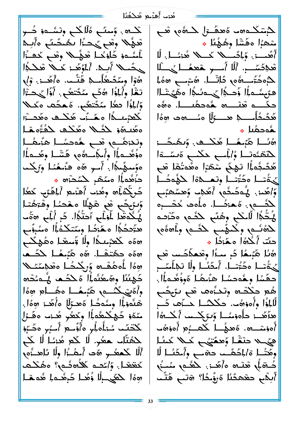تْكْلُمْ . وُسْتُمْ وْلْلْكُمْ وِلْشُنْبَاهْ فُسْمِرْ هَهْلا ومْع كحدُّا بِمُمَصَّعٌ وأَبِيرًا أَمْدُهِ ذَاوَٰكُما هُؤُمِلًا وِهْبِ كَهِ ٰٓأَا حِجَمِيهِ أَبِيهِمْ. أَلْمَوَهُد: كَمِيهِ هَدَجُلاً هَدَمُوا 5ْوَا وِمَكْمَعُلَّكُمْ كُتُّـبٍ. 5ْأَهَّــزٍ. وْإِي لَنَّقْلَ وِأَبَلَوْا هُكَ مَكْتَعُبٍ. أَوَّا حَكَّدَّا وَّالِمُوَّا حَعُلَ مُحَتَّقَى. هُ مَحَّف هَدَلا كُعرَّبِ وَأَنْ مَعْشَى مَحْكُمِ وَهُدَارَ ەھَىبەَز لمشَلا ەھَىْلمَا للەُتُوھَا دَوْهُــدِياْل وأُمِكْمِـــوهُ٢ هَنْنَــا وهُــدِياْل ەۆمىمگەگا. آمىر ھە ھۇمگىل وۆڭى دُهُداً مَمْعَمِ لِمُمْدَرُهِ \* كُرِيَّكُمْلُمْ وِهُٰنِي أَهْنُوم ٱلْمُعَنِّي كَعُلَّا وَبِئِيجُمِ هِي هَوْلًا مِعْجِبًا وَفَتِعُنَا لِيُكَوَّشَا لَمُوْلَى آَحتُوُا. كَرِ إِلَيْ هِ وَقَب هتُودُكُما مِمُرْدًا وِمُتَكَدُماً مِمْبِؤُب ههُه كُعبُسِكًا وِلًا وَّسِعْدَ مِمُهْكُب هەّه حَفَّتْهَـا. ﴿ هُمْ هَٰٓبِـمَـا لَلْحَــم اجەم ئادەھقىدە كۆرگىگىلا دەھلەتكىلا كَهْنُا وهَٰىعُنُهَ أَلْمَكْتُ إِنَّــهَا مُحْدَّد هْنُوفِهِۢا ومُنْوكُمْ وَهْدَلْ وَأُهَدَ هِوَا. مَّكَوْ كَهِكْبِعُْدِيًّا وِكْتَكُو شُـزَى دَفَّـرَّل ڬٚػ*ٮؘ*ۜٮ *ڂ*ڹڵٛڡڸؙڔ ٥ٳٞۏٞ؎ؗۯٵٞۻۘڔۄڡؘػٶٚ حَمُتَابٍ حَعْدٍ. لَا حَمْ هُزْءًا لَا حَج ٱلْلہ كَمْعَكُس رَبِّي أَحْثُ إِلَّا لَا تَلْحَدُوْمٍ كَقَفْصًا. وَٱكْتُ ݣْلْاهْتُمْ؟ هِفْكْتُ هِوَا كَعَيْبِ الْأَوْهُـا كَرِهْــوا هُوهَـا

كرسك وه هُ مَعْكُمْ لَمْ يَوْمِ مِنْهِمْ مْعبُرا وفُتْبا وهُوُمُا \* أَهُمِـــز. وَإِنَّــــــلا كَـــــلا هُـزَـُـــا. لَٰا هُجُمَعَـــِ. أَلَّا أَمـــو هُعهُــالَىٰــُلَّا Aودُتُوـــوهُ مِ دُاتْــا. هُــْوِــــــى هِمْهِ الشَّرْفُه الْمُدْمِرِّ الْمِحةُ الْمِصْبَوْع حكَــــه مْنْـــــــه حُمحمُنـــــا. ه هُه هَتَمَدُّلُـــــــمِ مــــــرَّلُ هئــــــمِد مِهْ a liéssé ھُنُّــا هُبُعُـــا هُكْـــف. وُنصَّحَـــ; للتفئونسا وُالْمسم مكسم وَسَسْــوَا هَكَــفُـه أَا نَـهِـكُم سْتَعْبَا مِعْـمَتُـهَا هَــم ححَّصًا مَحَّتُسًا وتمــــــاةا للحُمُّمَّـــا وَّاهُد: بُوَحُدُومِ أَهْدِبِ وَهِمُعَ َبِ هُ تُّجُلاً لَّاعْبِ وِهُنّبِ لِكُمْ وَكُنْفَ لمَثَمَّلٍ وِكُنَّهُم لِكُسَّمٍ وِلَمَوْهُم حَلّتْ أَكْدُهُ ا مَعْزَفًا \* هُنَا هَبُنُمَا ثَرِ سَأَا وِهُمَكَّسَت هُم يْةُسْا هِجَّتْكَ. أَحَكْسًا وِلًا تَجْلَمَتْ حفَّمُا وهُوصُبا هِنُمِّا وُووُهُوماً. هُم حلْكُـه ولْـدُوْها هُـم برُبكُـم لَّالِمُوْا وأَدْوَهُبٍ. حَكْكُما حَــَوْفٍ كَــَرِ هدَهَـــز حاهومــــا وَبِرَجْـــب أَحْـــهُ ا أُەفِسْدە. ەَھۈكىل كُھىبُرْم أەفۇقُ فيحمله المتفتين فاستنقص المسترك وِهَٰتُـا ةَالِمَٰهُــٰٮ دةَـبِ وِٱُـمَّـُـا لَٰا كُهْ بْمُسْدًى مِنْ أَهْدَ بِ حَقَّصَهِ مُمْدُِّهِ أَبِدْمِ حَعْمَتُنَا هُرَفَجُا؟ ۞تَبِ هُنَّب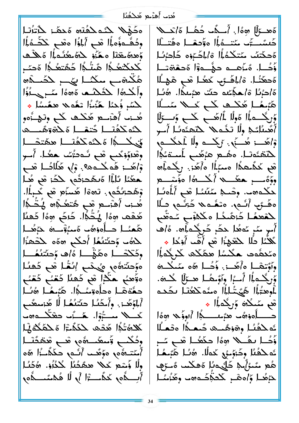هُذِبٍ أُهْبُو هُكِفُنًا

وَكَهْلا لِلْبُمِكْفُلُو وَحِضَرَ لِلْأَتِبُرْنَا وِدُهُّـدَوّْه اُمْ أَيْتَ أَيَّاوُّا هِ هُــعٍ كَتَّــدُهُ اُ وُهِهُ مَعْنَا مِعْنَوْ لِمَوْمَعُنُواْ مَلَكُ مِ كْدِكْتْعُــٰمُا هُـتُـٰـمُا خَـعٌتعُــٰمُا هَحـُــرِ ھُکُھُنے سکتا تھے۔ لمصَّدُہ وأَحْدَهُ الْكَثْلُبُ هَ هَاهُ الْمَسْرِيبَ وَوُّا لْكُتُبِ وُحِمًا هُنُوْا تَعُويْلِ هِمُسْلِ \* هُد:پ أَهْزَمِهِ هُكُلُّهِ كُلْمٍ وَلَكِيءُوو كئوتكفئه لمحتشها والمحقوشي قَيْكُمُ الْمَحْتَدَمُثْكُمْ مَحْمَّتُهُ الْمُحْمَّدُ وِثْدَاوُوْكُىپ ثَىي شُەنبُّنْت جَعْدًا. أُسو وْاهُد: هَٰهكُـهِ&. وْلِي هَٰكَلائُــا هُبَ حَمَّمُا تَالَمُ أَصْحَدَثُم كَذَّ مَّع مُدا وْهُدانُدُهِ. ثەۋا هُسَوْمْ هُمْ كَبِيلًا. هُــز، أَهْزَـــم هَــع هُتمُــدْ٥ لِمُـتُــدُ ا هُـفْعِ وِهُ| لُخُّهُ|. كُرْكُمْ وِهُ| كُعْلًا كَعِنْـا كَــأَوْرَهُتْ هُنْبُوْٓــِرْهُ بِكَرْهُــا لِمَاهُ۔ وُحنَّنَـٰعًا أُصَلُّـٰہٖ «هُه لِلصَّعَةُ! وكَكْتْسَا هِ هَٰذْسًا هُ ُ هِ وَحِنَّتَنُّمُسَا وَجَعَنَتْهُمْ وَمَحْمَدٍ إِنَّقَالَ هُمْ أَحْمَدُ وَوَّهْدُ مِنْكُرا هُمْ كَعْنُا كُمْنُمْ كُمْنُمْ حَقَّقْط محلُّمَوْمُحُمَّا. هُبُمُصَا هُنُا ٱۥلِوَٰهَٰ: ﴿ مِّكۡنُـٰلَ حَنۡنَـٰهُـٰلَ لَٰا هَٰذِمِعۡنَب كُمِّلًا مِسْئُوْلَ هُمْ يُو دِهْتُكُمُ وَهُ لَكْمُتُمُّا مُدْهِ كَكُمْتْا هَكْفُكْةَلْمَا وِكُنْبٍ وَّسِعَٰبٍ هُوبٍ هَبِ هُقَمَّنْـا أَمَنْتُدَةُ مِ وَوَقَّبَ أَنَّـهِ حَكَّمُــَٰۥ ۞ه ولًا وَّسْعِ كَلا مِحْمَدُىًا كُكْرُوْ. ۞كَيُلًا أَبِــدُّه، كَذَبَـــتَزَا أَبِ لَا هُدَمَـَــدُه،

هُهْدَرُلَ هِهُلّ أَمْدُو حُصًّا هَ/تَمْلا دُىسُتِّ مِّتْدُواْ وَوُحِمْها وقُتْ ال ەَحكْنَفَ مُتَكَـهُ إِلَا هَ الْمَكْبَوْهِ ۖ خَاحَرُنُـا وَّحُــا. ةَخَوَـــه حجَّـــهوَّا ةَحمْةَ ـْــا هُحعَّتُـا. ةُ/إضَـرَّى كَعُـا مَّـع هُـهِــُلا ەُ/دېْئا ەْ/ھېڭىم دىت ھېْىلاًا. ھُئا هُبُمُا هُنْدُ لَكُمْ كُمُلًا مُنْسُلًا وَرِيْكِ وَلَا أَرْهَا الْمَرْسَمِ لَكِنِ وَبِسَوْلَ أَهُملُكُمْ وِلَٰا نَخُمِيا ۚ كَنْعَنَّهَ صَٰلَ أَسِر وْاهْد؛ هُـــُزْ، رُكْـــه وِلَا لْمَكْـــهِ، لِمُتَعَدُّدَا. وهُــع هَزْهُب لِمُستَمْلًا هُم كَدُّىعِدًا مِيرَاً هُ/هُدَ. رِجَّدِيُهِ وَوَّةَ مِنْ حَقَّلَ لَا أَكْسَرْهُ أَهْوَمْسُور حكّدهب. وتَسم مَنْسُل هُم أَلْمَصُل ەفَـرَّى أَنُــه. ەتْـقَــمىلا خَرْنَــهِ نــلا للقعما كرهُندا مكلأو عمقُم أُمرِ مَمْ ِ مُوهُا هجَّ جُرِيُّكُوْلُونَ وُافْ كُلّْمًا مِلًّا لِحَقِّهِۥَّا هُم أَقُب أَوْحًا ﴾ مَحْفُوب هَكْسًا مِعَكُمْ كَرِجُوبًا وَأَوْتِيْهَا وَأَهَدَنِ وَّجُهَا وَهُ مَيْبَكِيْهِ دُرِ كُے اُل أُسْرًا وَأَوْجُعًا هُمَرًا كُنْهِ. ـلْوهِ: إِلَّا هَيَ ـَٰٓ إِلَٰهَ | مِنْهِ خَهْنَـلَ بِكَحْـهِ ھُم سَّىكُلُّ وَرِيْكُمْ!! \* حَـــــأَهوْرُه دَ مَيْمَـــــــدًا أَاوِوَّى دَ رَهِهَا ئُه لِكُنُا وِرُوَفَعَــهِ كَــَـمَـدًا هُـمَــلَا وَّحُـا بِقَــلا هِهُ| جِنَّعُـا هُــمِ يَــرِ هُكَفُلًا وِكُرْفَنِي كُمَلًا. هُنُا هَبُنُهُا ھُم مَّىؤُلُّهِ كَايُحطُّ ەَعكْسە ەَسَرَى حَرْهُما وُاهِهْمِ كَحَذِّكُوهِ وَهُزُمُما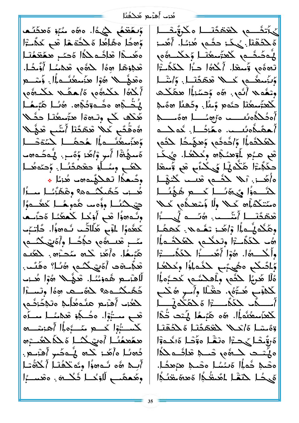ۇيقققۇ كۆرگا. دەە مۇۋ ەھكئى وُهجًا مِعْلِعُا مُحْجَّة هَا هُم كَذَّبَّا وهُمِدًا هَائُـوجِدًا وَحِبْ هِمَّعْمُنَـا قَدْفِرْهَا وَوَٰا لَهُ وَمِنْ الْأُمُكُمْ. ەقدۇكى ھۇرا ھۇسمگىشمارا. ۆشىم أَكْثَرُهُ الْمَكْتَدَةُ مِنْ هَضَلا مَكْتَدَةُ مِ لْمَشْــٰهُ٫ ەَــُــەَوْكُـٰهُ٫ . ﴿ مَانُــا ۖ هَٰٓءِــهُــا هُكُفٌ لَكُمْ وِلَـ96\$ هَتُمْعُمْلُ حَفَّلًا هُوَقُفُمٍ كَلاٍ مُتَمَعُّنَا أَشَّبٍ مَّذُلِلا وَهِنَمِيهِ أَلْمُ الْمُحِمُّ لِلْمُحَمَّدِ لَا يَحْمَدُوْ الْمَسْوَاءِ ەُمدۇشَّا أُمر ۋاھُدْ وَەُمب فُءكُدەت لحَقَّــع وِمُــأَوْ حَقْـٰهِـدَّنُــا }. وَحَمَّدَهُــا وضُعِدًا تَعَلِّيْدِهِ مُنْ هُذَا ﴾ هُــز دَهَّمَكُــه؟ وِهْهَّزُـُــل مــزُل حيْحِثُما وِؤْهِيبَ هُومِعُمَا كَعْثَـوْا وِئَدْوَوُا قَبْ أَوْجُلْ كُمْعَجْبَا وَجَنِّــم كَعْدَوُا لِمْوْمٍ هَٰكَاتُـب نُـدِهوُّا. كَاتِبُت مصنفرتها وأكامه وهستم بمن هُبُمطًا. ه}هُد كمه مُصَرْره. لهكلت شَآءَ أَكَانُ مِكْنُ وَكُمْنَ أَكَانَ مَقْتَ بِهِ مِنْ الْمَدَىٰ الْمُسَامَّةِ مِنْ الْمَسَامَةِ مِ لَّاقَنِصِ هُءِنُنَـا. مَحَمُّــــ⁄ا هُوۡٓا هُــٰٓنِ دُهُمَكْسُمِهِ جَدْهُمِيهِ وَدَا وَتَسَآلَ لمَعُنِ أَحْنَـمِ مَثَـمعُلًـمِ مثَمِكَنتُـمِ قب مىشۇرا. ەئىگە قىدىئىل مىلە كستؤا كمو سُوْءاً أهنقه ه تَكْتَمَكُمْ أَسْكَرِيْهِ أَسْتَكْتَمَ مِنْ مَا يَتَكَمَّدْ مِنْ مَا يَتَكَمَّدْ مِنْ دُهنُا ه}هُـ: كُـه ﴾ٌـهضَـرِ أُهْزَـــع. أُبِي هُو نُبوهُوا وِيُونَدْهُنَا أَيْدَةُ يَبِلْ وِهُمِعَْبٍ لِّأَوْحُمِلاً ثُكْلُوهِ . هِ مَعْسَمُ ا

هَكْفُقْلَ كُكُمْ حَثُّمٍ هُزَيْلٌ أَهْبَ هُءكَمدٌ على لَاهتُمحكُمْ لِمَكْسَدُهُ تَهِهُم وَّسْعْدُ أَكْهُ احِزًا حَكَمْتْزَا وَبِنَسِعًا مِنْ سَلا شَقَفَسْاً. وَاسْتَنَا وِتْعُهْدْ أَنُورٍ. 6ه وِّحِسِّنْهِا هِكَكْتُ كَعتَمِيعُمْا حِنُومٍ وَمِئْلٍ. وِكَعِبًا 50\$مِ أەئىلامۇسىسىدە ئەئىسلار ھۇسىسى أَهقَيةُوسُــب. وهَزْئُـــل. خُوجَــه لْمَكْلَدُهُمُ الْمُؤْمَنُونَ وَمَوْسَحُلِ لِكُثُورِ هْمِ هَـرُم لِمُوَسَـٰدُوه وِحُكْفَـا. ۞ كُـذَ حَكَّمُتْ لِهُ مِكْمِنًا وَلَكُمْ الْمَكْمَةِ الْمَكْمَةِ وَمَعْقَدَ ه/ُهَــز. أملا لمثّــه هْلــه كُنْهْـا لأَسْدَوُّا وَيُجَمَّلُ لَا حَسَمَ هُوُنُسَاً، ەمئىتكەلەھ ئىملا ولا ۆشىيىگە، ئىملا هْتّْقَدّْنْـْ أَنْتّْــب . هُنَّــه لِّي أَرْ وهَكُديْ؎بُمْ أَوْاهُد: تَعْـدِيد. كَتْعَصَا هُـ لِمَكْمُــٰٓ;ا وِبْعُـُـمٍ لِمَعَلِّفُـمِهُا وأَكْسُوا. وَوَا أَهْمَسْأَا حَكَمَٰتِ وَا وَلمَّنَكُمْ مِفْيَنِّبٍ كَثَمَاؤُا وِكُلْفَا هُلَّا هُدِيًا ۖ حَثَمٍ وِـمُعَـحَمَدٍ مَعْشَـمٍ ۖ كَحَـزَمِهُۥ كْمْوْبٍ هُـتُّهُ. حَقْـْلَا وِأُسو هُكْب أَــــدُّم حَكَمُـــــٓۥٓا هَحْقَتُدهُــــا لَكْعَنَسْمَعُلُهُ إِلَى هَ هُبُسُمَا لَهُمْتَ تُحْمَّا وَمَسْلِ وَاتْكُلْ كَعْقَفَتْلِ وَكَفْقَلْ هُ رَقَّكَ كَحَةًا مِنْقَا مَوَّكَ مَّا مُحَمَّرَ وَيُمْـد حَـــوهُ مِ صَـــدِ هَـائُــدَكُمُّا ەتىم ئەلما ەىئىئا ەتىم مۆھئا. أَمُحِكْمٌ مَعَامَلَ مَعْدَمًا وَهُمَا أَشْرَفُهُ مِنْ مَنْ الْحُرِهَ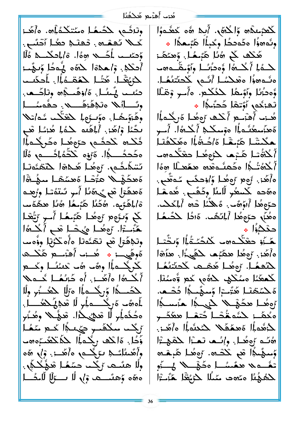وِلْلِكُمِ لِكُمْطُ مِمْتَكُمُ}ُ۞. هِأَهَٰذِ كَنْمْ تُعْقَرُهِ . فَعْلَمْ مَعُنَا آتَسُى. وُحْسَــد لُمَّــد «ه)! ة/إحكْــد فْلا أَحِبْكِمْ. وْ/هكاة الحَدَّة و لِمُحاظ وَيهُمْ: لِكُوْيَقْطِ. هَتُما لِكُمُقْدُواْلِ. أَحكُنت دىُنىس بِمُسْلَ. ەُ/ۆھُىندۇرە وتاڭىنى. وفَرْمُعْطَ. ەۆسۇم! كَعْتَكْب شَە/شْلا ىكُىُّا وْاهْدْ. أْلِمُّد حْدُبًا هُزْسًا شَي ثَكْلُ كُدتُــم حرَّهِ هُــا هضَرْجُــماً ا ەكْھكْسْبْدا. ەْرُوْە ݣْݣْھُولْقْسْسْمْ وْلْلْ ئتىكىفُى، رُوهُا هُـدةا كَتَقْتُونَا هُعجَهْدا مُتُصَا هُعِمَّقَا مِجُتَّةَا ەھفىرا شى ئى، ئا أس ئىتەتىل وۇرىم ەُ المَوَّجِه. ھُڪُلُّا ھُبُعُمَّا ھُنَّا ھِھَدَّمَت كُمْ وَبَوْهِمْ وَهِمَٰا هَبُنُهَا أَسْرِ وَيُعْدَلُ هَّنْـــْٓا. رُوهُــا هُكُمْـا هُــعُ أَكْــدُا وِلْكِلْوَلِ هُمْ لَتَعْنُولُا وأُوتَكَوِّلٍ وِؤُوس كْدِبْدْهِ أَا وْهُبْ هْبْ تْبْبُنْسَا وْكْسْعْر أَكْمَا هَأَهَد: أَه خَنْعُا يُحِمَلا لِكَسِيدًا وَرِبُّدِهِ أَا وَرَأَلِ لِكَعُبُّنِ وَلَا لَمُوهَبِ وَرِيْكِ وَلَمِن لَا هُدْيَكُكُمُ لِ ەكْثُەلُم لَّا شَيْكُرا. شَيُّىلا وِمُدُّمِر رُكْما مُكْفَسِّرٍ كَيْمَةُ! كُلْمَ مُمْلًا<br>وَدًا. ةالكَ رَبُّكُما! لِكَة تَكْفَسَرُه ما وأَهْمَلْكُ؟ مَرْكُمُو هُأَهُمْ: وْلَى 50 وِلَا هِنَيْتِ رَبِّكُتْ حَمَّعُتَ هُوَيُّكُمِّي. ەھُە وُھسُّـــە ۋار لَّا ســوْلَا لَّامثُـــا

لْكَعْبُسْلَاهِ وَالْحُمَى. أَبِي هُوَ كَعْدُووا وِنُوهُواْ وَجُوجُلَا وَكُبِراْ الْمُؤْسِمَاْلِ \* هُكُفَ لَمْ هُنَا هُبُسُاً. وُهَنَّفَ: لِكُمَا أَكْدَةًا وَْدِدْتُنَا وِأَوَّمَقْدِهِ ەئـەھۈُا ەقىلىئىلە آئـە كىلىنىئىلا. وُّەدْنُا وِأَوْمِعًا حَكُكُمْ. وأُسِرٍ وْقِىلًا ثعنتُم أوٌتمْا حُحَنُكُما \* هُدن أُهْنُوم أكْد رُوهُا وَرِيْدُولًا ەَهْنَمْعُنُدَيَّا ەوْمىڭدە أىكىدا. أسو هكشا هُبَشًا هَادُةُ أَا مَعْدَفُنَا أَكْتُمْسَا هُـْمِم كْرُوهُـا حِعْنُكُـە و أَحْدَّثُمُ! وَحَمِيْهِ هُدِهِ مِعَصِّلًا هَ أَ هأَهَدَ. وُهِمْ رُوهُما وُأَوْحِكُم مُوَهَّدٍ. ەھَدە كَسْعُرِ لَاسُا وِكَفَّى ِ. هُدَهَا حرِّهِهُا ٱرْهَمْ . هُ لِأَمُل دُرِهِ ٱلْمُكَــد. ەھُنّى حرّەھُا ٱلمِنَّعُف. ەَاطُل حَصَّـمُـل حثَكُرُوا \* هُـزُو حقتُده ما كَلكَـتَـةُ إِلَّا وَلتَّتَـا هأهَد: وَهُمَا همَّتِها لِهَيْ الصَّلَاةُ لأنفسًا. رُوهُما هُشَمَا كَحِنَّتْنُهُما كْمِعْنَا مِمْكَنِي لِهِ مَعْ وَمِمْتَا. هَ كَمُعْمَلَ هُتُوَا وَسَهَّمَةُ أَدْهِهِ. أَوْهُا مِدَمْ لَا لِهِ وَا هُنَ وَا مُنْ الْمُؤْمِنَ مكفَ: حمَّدَهُدْ الْاَتْعَا هِعَدَ بِ لِمُعْدِماً وَمَعَكُمْ لِمُحْشَراً وَأَمَدَ. هُنَه رُوهُما. وإنُه تَعْزَا لِكَمْهَةَ وَسَهَّىٰهَا هُم كُدَّه. وَوَهُا هَبِمْهِ تمْــه بِهِ مِمْسُــا وَكُوْنِــا لِمْ يُو لحَمْدُمُا مَحْمَد سَمِّلًا لِحَمَّقَظَ هَنَّتَةَ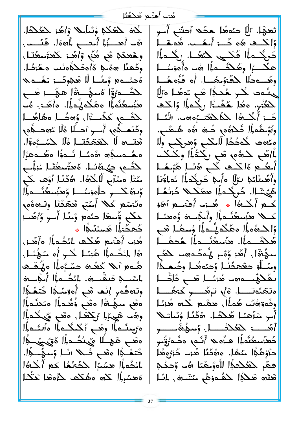هُذِبٍ أُقْبُمِ هَٰكِفُنُا

َكْنَ حَقَكُمْ وُتَىأْمِلًا وْأَهَٰذِ حَقَلَكُمْ. هُد أَهِدَٰٓءَا أَمِصٍ لِمُهَا، قُسُّـد. وهَعِنْدُمْ مْعِ هُنِّي وْاهُدْ كَعْتُوْسِعُنْدَا. وِكۡعَنُا ۞ەۡۂ ەُ/ەتۡـٰذُا مُنۡدُا. هُحثَــهِ وَمِئْــا لَّا شَدْوِكَـــز تَـعَّـــه بِهِ لِكُــوُرُوْا هُمِهُـــةْا هِهَـــز قُــــو هزُمهُنُه إِلَّا وَهَكُو بِثُوا إِلَى وَأَهَدَى وَفَ لِكْسُمِ كَذَبُّ أَنْ وُهِجُما هِقَاهُما وكُلْعَــكُام، أُســر ٱتـــلًا هُلَّا مُحتَّــدُّم، هْنْـــهِ لَا حَمْعَكُنْــا هُلَا حَسُــرُهِ وَاْ. مشاعبكم ودها اللهوا وهُناهي لْمَشْمِ حَيْجَةَ الْمُسْتَمَامَ مُسْتَمَامِينَ مِنْ الْمَسْتَمَاءِ مَتْلَا مِمْلَى لَاحْدَهُا. هُكَسُا اُوْمِ كَبِ وَإِلَّا كُلَّــــوا هُوَمَنُـــــا وَهٰذَممعُنُـــه أَا ەئنشىر كْمْلا أَمّْتَم شَقْقُلْا وِلْـ300\$ لمكَّلِم وَّسَعْدَ حَثَّاهِ وَبِئْنَا أُسِرٍ وَٱهْبَ حُهجَّنْ المُسْتُمَّانُ \* هُنِ أَحْبَمِ هُكُفَ لِمُخْدِينًا وَأَهَدَ. هُا لِمُثْـهِلُا هُنْـا كْـرِ أَه مَّهُـُـا. هُـهمْ آلما كَعْدُهْ حَمَّـزُه أَلْمَ وَكُـفْـها لمثملي تَعقَّصهُ. لمُخْصَمُلَا أَحدُوتُ وِلْـْهِقُـْمِرِ إِلَـٰهَا هُـْمِ أُوتِنَـٰٰہِۢا كُتَـٰفُـٰہِۢا وَهُمْ مِنْهُشَاءُ أَوْقُومُ الْمُحَدَّدُوا الْمَحْدَثُوا وهُ هَيْءَ! رُبْكَثُنَا. هُمْ وَيُكُمْأَ!<br>وَمِيشُمْأَا وِهْبِ الْكَنْدِمِاْا وَابْشُمْأَا الْمَسْرَحِينَ الْمَسْتَمْرِدَ الْسَهْدَ سِـنَهُ كَتفَـٰهُا هفَــب شَــلا الـُـا وَسـهُـــهَا. لْمُحْمِلًا هِمَّىْ الْحَجَّابُهُا كُم أَكْرَهُا ەَهسَٰہِٱ لَاهِ وَهُكُم كُوْوَهَا تَتَكُمُّا

تَعَهَّا. رَأَا حَدَّمُا حَكَّه آَحَتَّعِ أَسِر وَالْمَــْ هَ هُ صَــز أَمكَـــد. هُدهَــا كُرِبُكُ وَلَمَا هَكْسِي لِمُتَعَصِّلِ رِبُكُ وَلَمَا هكَّــــزًا وِهُـكثُــــولًا هُـــ ه/أَوْمَــُـــل وِهَـــوطًا ۖ حَفَزَهُـطُـــا. أَو قُزُوجُــا لِلَّهَ مَا مَنْ الْجُمَعْ بِكُمْ مَصْرِحِ الْمَحْمَدِ مِنْ مِنْ لِحَعُنُو. ٥هُا هَفَسُرًا رِكْمِهًا وَاحْدَ كُ أَكْتُ الْكَلِّكَةُ مَنْ وَجَابِ النَّارِ وِأَوَّىـثَـٰٰٓءَلَّمَا ۖ شَكْرَهُ مِن رَبِّنَ ۖ رَبُّو ۖ شَعْبَـبٍ. ەڭھە گەخُخا لاىڭىم ۆھرىكىم ولا أَاهُم لَحْدُهِ وَهُمْ رَكِنُهُ إِلَّا وَكَنْكُمْ أَحكُــم ةَاتْلَــف كُلّـع هُنُــا هُبُــهُــا وأَهٗدىُلمُمْ بِّوَلَا وأَجْهِ خُوجُدْمِلَا شَمِلَوُّنَا هَيَّتْ الْمَحْكُمْ الْمَعْكَلَا دَٰنُهُ ا كُمْ أَكْدَهُ صَلَّى هُدَا وَالْمَوْمِنَ أَنْ الْمَوْمِنَ مِنْ أَيْضُوْمِ كَمِلًا مِنْمِىمُثَمَلًا وِأَجْمِى وَالْمَحْمَدَ وَالْحَدَّةُهِ أَلْمَا مُكْتَوَلِّيهِ أَلَّا وُسَعُبًا هَبِ هَٰٓدُفُ وَإَن مَنۡمَعُنُ وَإِلَا هُدِهُ ۚ إِ مِدْوَةًا. أَهَٰذِ وَٖةَمِ لِمُوَجَّدِهِ لَكَمْ وسُأَوْ حَقَّعَقَنُـا وُحَمَّمُكَا وِحُـمَــدًا ىفَكْهُـــەمە هُزئــا مْـــى دُاتْــا ەتقئەتـــا. ەُ/ تېغىـــو كنېــا وثَوقوهُ مُعْمَلًا فِي مَعْتَمِ لَكُلُّهِ مُؤْمَلًا أُمِرٍ مْلَاعْمُا هَٰذَٰهَا. هُكُنُا وُنُىاسَد أَهَـــــز لمَعَلّاهُـــــــا. وَسَهُنَّهُ ـــــــو كَعْنَىمْعُنُهْ أَا هُ نُومْهُ أَنَّمَهِ وَهُوَّوَّسَ حْزَوْهُمُ الصَّهَا. وهُكَنُا هُـزب كُرْوَهُـا همّ لمَعْلَاهُمُ الْأُوْسَفَىّا هُـ وُحكُمْ هْلُه مْلَأُوا لِلْقُومُ مِّتْسَةٍ. الْسَا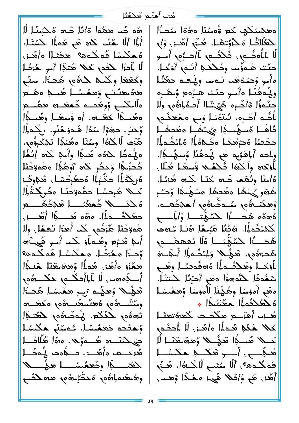هُذِبٍ أُهْبُو هُكِفُلًا

ِ هُو جُب مِجَمَّةَ أَوَّائًا خَسَرَ مَكْرَسُلُ لَٰل أَيَّا أَلَّا هَنَّبَ كُلَّهِ مَو هُو اللَّهُ لَكُنْتُهُ. هُهكُمْا فَوكُوهِ ۚ مِكْمَا وَأُهُـزَ. لًا ـأَدْا ـحدُّه ۖ كمح هُتمْ! أَس ـهَٰ;دُـا وكمقفا وكمك لمدأه كهدأا. سَلَّع ھەمھىئى ۇھىئىسلى ھىلە ەھلەر ەلگىنىم ۋوقىت قىمقىدە ھقىسىر وهُمِيثَالَ كَعْفُرُهُ. أُو وُمِعْصًا وِهُمِيجًا وَحِبَرٍ. حَمَّوْا مَمَّا قَـوْهُنُو. رَجَّدَيُّا هَّوْتِ لَا كُلُّهُ! وِمَثْلَ هِ هُتِيْإِلْ لَـٰهِ كَـٰبِؤُهِ. هِ يُوحُط لِهَوْهِ هُدِيُوا وأَمِي كَلِهِ إِنْتُغَا كُحَبُّــٰهُا وِّحْكُمِ ۚ لَاه ٱوْهُـٰهُا مِعُّودُتُل هَ رِكْثُهُا حَذَّبُهُا هَحفَرِحَسْا. هَجْوِضَ كْمِلًا هُرِحِسًا حَقُوتُوَسَا وَحُرِكَةُ أَلَ ة حَدَّـــ مَا حَمْعَمُـــــا شَدْخَتَهَــــــم حعَكْثُــولَما. وهُو مُعــوا أُهَـــز. هُوتِحُنْا هُنْحُم ۖ كُب أُهزُا نُعفا وِلًا أىلم تىدېم وكَسمهُو گىم أسو كَمِيْتَ وَدَأَا مِعْزَدًا. مِعْكَسًا قَمِكُمُّهُ هِمَّزُو هِ/ُهُدَ. هُدهاُ وُهِهُ هَنْ هَبْ ا أَكْمِهِ وَصَدٍّ. لَا أَلِمَأْتِكُمْ حَكْمَتْ وَهُ مِ هَيْبًا وَهِيَءَ رَبِّ هِمُسُلٍّ هَدُّا ومئتُنسةُ وه مُحسَّن مُحمَّد وهُ مَحَمَّد نُههُم لِلْكُمْ. هُمَضُهُمْ لِمَعْنَـٰهَا وَْهِتْدَهُ دَٰهَمُسُلَّا. شَمِمَّتُ هَكْسُلَ حيحكشاه هُدوَي دوهُ المُلائسا هُرتَسِــم ه/ُهُـــز. مـــدُوم لِيُومُـــل لمعَنـــــــٰٓءَا وحَعمَــِـــٰـــا شَيْــــــــا وهُ هُده وهُ مُحَدِّدُهُ وهُ اللَّهَ وهُ حَمَّدَ

ەھْكِمْكَكُنْ كُمْ وُّەمْئَا ەھەل مُحَرَّا لِحَكَلَاتُهُا وَلِحَكَمَ وَعَدَى الْمَحْسَنَ وَإِلَى الْمَحْسَنَ وَإِلَى لَّا لِمَلْوَشُــهِ. ثَكْشُــهِ لَمَاتِيَهِ أَسـرِ حنّت هُـهِۖوَ٘ٮ وحُـلكَـهِ ٱلنَّـهِ ٱوۡكَـا. وأُسٍ وَحَمَّدَهُم لَـٰءما وِلُـٰهـه حقَّتُـل وِيُهفُنَا ه}ُــو هنّت هـرُّهمْ وُعضُـره حنُّدؤُا ةَاضُرِه هَيُنْتَاا أَحدُبَاهُو وِلَا لُمُد ٱضۡره. يُتَمُسۡلَ وٖۡبِ مَعۡعَلَـٰمِ دَّاهُـا مَـمْهُــهُا مَـهْمُــهُــــهُـــهُــــهُــــهُــــهُــــهُــــهُــــهُــــهُــــهُــــهُـــ ححْمَا هَجْتَمْدَا مَكْمَهُاْ مَاءُحُماً وِلَمَده ٱلْمُعَرَّبِ هُم لِمُوطُلًا وَمِعْمَلًا. لَمُوْكِدِهِ وأَحْدُهُ! ثَكْلُهُ لَا تُصْبَحْهِ الْمَمَلَلِ. ة/ملًا وتُمْعَد دْ- كُنْمَا كْـ هُدَمْـًا. هُ۞وٖ ﴾ مُعْدهُا وهُدهُا ومُهُمُوا وَحَسَرِ وْهِكْتُمْوْهِ مُحْدَثُوهِ أَحْلِقُومَ هُهِهُم هُجِسُدًا لِكُمُوَّتِسَا وُالْمُسَبِّ ِكْلاَنْحُواا. ۞َكَمَّا هُرَّ**ـهُ**ا ۞ُنَـا عُـ2ه هُدَ أَلَّا لَكُنَّوْمَهُ لَهُ لَقْعَهُ حَمَّ هُد;ةُه،. مَدْيُــلا وَلِمُشُــهِ أَل أَعْذَرِهَ لَمُوْكُما وِهُكُشُدَلًا هُ هِ فُدَنُمَا وِهْب سْعُوطُ كِنُوهِؤُا وقْعٍ أُحَرُبُلُ كَمَنْتُـلٍ. ەتىم أەزىمًا وھُكُمًا لأەزىمًا وُھمَّىمًا هَ لَهَٰذُدُواٗ مِعَيْنَدُا ﴾ هُدن أُهْنِدِ مِكْشَدٍ كَعِيهَ تَعْلَمَ كَمِلًا هُكُمْ هُدَاً ا هُأَهَٰ: لَا أَحَدُومِ كُمِلًا مُسْمَأًا مُدَمِّمًا وَمِدَهَمْتِنَا لَٰا ھُىمُب, أُبِ قُكْمٍ مُكْسًا فَمكمَعَهِ. أَلَّا مُتَبِ لَا كُلُّهُ!. هُنَّى أَهَٰذِ. هُم وُٱتْلا فَيْءَ مَعْدًا وَهـٰ.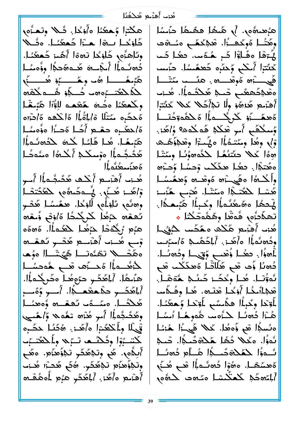حَكْتَرًا وَحَعَنُنَا هَ أَوْحُلَ. شَكَّلَ وَتَعَزُّونِ كُلُوْحُمَلِ بِّ مِنْ الْأَحْمِعَيْمِ الْمُحَمَّدِينَ مَنْ الْمَسْمَدِينَ وِنَاهِنُورٍ خَاوْبُدا نَهِءَا أَهُمْ خَعِفْدًا. دُهنْدا أُجْمِده هُدههُدا ووُّومُط لِلْمَلِمُعْنَـــــرُوه مِنْ حَسَنِهُمْ وَهُــــــــــــم يُكْتُدُه وكمعَمْلا هدُه حَصْمه لِلوُّالِ هُبُخْما هُحكُره مَتْتُلَا ةُابْلَةُ إِلَّا هَا تَكْفِ هَاجْرَاه ة/حعَده حقـم أَحُـا ةحـزًا هؤْمِيْل هُبُسُما. هُـا فَاسُا كُـهِ كَدُهنَـهِ أَا هُدُبُّــو اُلْمَ وَسكْــهِ أَكْـــهُ المُدَعُّـــا ەھزىيىغ*ىدۇ* ( هُــٰ; أَهْبْـــم أَكْــْك هُكُــجُــه ا أُسـر وْاهُد: هُــَٰزٍ. ڨُــه=كَــهُ٥و للطَّفَّـٰدَــا وهنُم نُاوَلُم لَّاوَىٰدا. همَّسُا هُتَــر ئَعْقُو جَرْهُا كُرِجُدْهُا وَاوْثَى وُحْمُو هزم رُجَّدُدًا هرَهُـا ههَـهـاًا. هَههَه وكِنْصْلِهِ تَقْدُوْسًا هَيُنْسَالِ وَوُهَا لأشــولَما وَحــزَم هــ هُوحسُــا هِنَعْلَا. ٱلمُكَصِّرِ حرِّهِهُما وَحُرِيْكُولًا. اْلِمَكْـــو حكْلِمعْتُمـــجُلْ. أُنـــو وَةَنـــو هُكْشًا. مِمْكُم تُعْصَبُهِ وُمِعْسًا وِهُشَدُّهُ أَمَّالُ أَسِ هُٰذَاهَ شَقَّهَ لَا وَأَلْمَسَبِي قَىٰلًا وِلمُتَكْشَرَا هِٱهَٰ: ﴿ وَقَبَٰلٍ حَضَرِهِ كتسرُوٓا وشَكْسُم تَسَرِّيه ولَمَكْتَسَرَت أَبِدُّهِ. هُم وِلْدُهُكُو لَدْفَوُهاُوم. هَفْم وِلْـْلِأَوْهَـٰٓرَٰہِ لَاهُـٰٓطُوں ۚ وَّكُـ هُـٰٓحِـٰٓرَٰا هُـٰٓءَٮ أَهْبَعِ هِ أَهَدَ. أَلِمَّكُو هَزْمِ لِمُعَهْدِهِ هزهدهُ مبدأ مُسْمَا هِمَّىهَا حَزَّىسًا وهُتُما هُوِكُهِ أَلْ هُدْكُمُ وَصُـْهُد لِمُتِقَا وَقَاوَّا كُم هُكَفٍ. تَعْمَلُ كُب كَتُبًا أَسْلَمٍ وَجَنَّرِهِ كَعَمَّسُلَ. حَزَّىت فَي آن هُوڤ ه. هنُف مَنْنَسا ەھْكِكْتْتْ مْسْتَمْ مُكْتُمْهَا. مُحْت أَهْبَعِ هَٰدِهَٰۥ وِلَٰا نَجِأَكُمْ حَمْلًا حَتَّتَۃًا هُهمَّــزُو كُرِيُّـــولًا هَكْفُووَدُنْـــل وَسِكْفَى أَسِ تَعَكُّلُمْ فَمَكْمَعَهُ وُاهَٰذٍ. وْلِي وِهُا وِمّْتُـهُ أَلَّا هِ كَبِّ أَوْ وَهْجُؤُهُـهَا هِهُمْ كَلاَ حِئْنُهُمْ لِكُمُووُنُهُ وَمُثْلُ وهُتِبْوا. حَعْلَ هَكَكُب وْحِسًا وُحِبْرَه وأكلفا دفي آه ەوقىدە ۆھىسىلىر هُسْهِ لِمَعْنِمْ! مِمْتْهِ!. هُبْبِ هُنُنَا لْمَعْمَلِ وهَيعُنُولُمْ وِكْبِلًا هَبُيمِكُلْ. تَعِكْضُو هُوَمَنْا وِهُهُوَحَكْنَا ﴾ هُذِبٍ أَقْتُبِهِ هَٰلَكُمَّةِ مَعَّكَسٍ لِكَبِرَتِيْ لِمَ ودُهنُه}ا ه}هُـز. } إحْهُـدِ ﴾ اممُنــ لِلْهِوَا. حَعُمَا وُهْبِ وُقِيمًا وِدُهسُمْ. دُەىُا وَّد شَى هَٰلَاتْل ەَمىڭگىي شَى ئُەۋْتْـا. ھُـا وْحُكّْ: كْنُـْجْ هُةْهْـا. قَوْمِلْأَمِكْمَ أَوْكُمْ قَنْسُو، هُمَا وَهُكَّامِب لَمُوَكِّدَا وِكَبِمُا هِدَّمَسَى لَمُوَكِّدَا وَحِعَدُا. هُـْزَا دُهِئُـا كِنُومَا هُومِعُـا ٱمسُـا وسُمْ أَمْسٍ وَوَهُدًا. كَمَلاً فَهَيْ أَمْنَاهُ أَمْنَا ئُەؤُا. ەڭلا ئۇل ھَلاۋْكَىـوْا. تْىــوْ ئَےوَٰا كَمَكُوْحُمِيْا هُــأَمْ دُوسُـا ەَھىنھا. ەەْۋا دُەئىماً قى ھُنَ ألمته كمنكشا متهم لحدة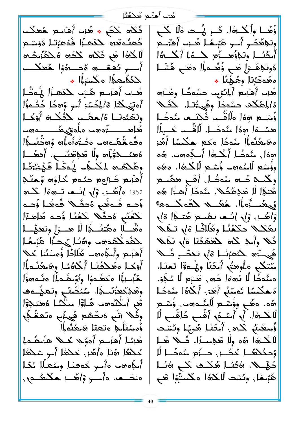هُذِبٍ أُهْزِيعٍ هَٰذِهُنَا

ثَلَاه لَمَكُم \* هُنِي أَهْنِيهِ هَٰعِنَكَ كُمِنُوهُم كَنْهَـزُا فُوْمَرْتَـا وُمْسَـع لَّالُحْمَٰا مَّع ثَلَاه كَلْتُه هَكْفُنُتُده أسبر نُفقسه ةُجِسةُوْا هُعنُكسا لِكَمُعِجُلُ مَكْسَبُهُا \* هُدنب أُهْنِيهِ هَيْبِ حَدْهِدُ لِيُوَضَّرِ أُەتپْكْتَا ةْالْمَشّْمْ أُمْرٍ وَْھِجًا خُشُّەؤُا وتغنَّونا ة/همَّــد لَكْتُــلاه أُوْحُــل هُام مُنْ مِنْ مِنْ وَالْمُؤْمِنُ مِنْ مِنْ مِنْ ەقەشگىمەت ەڭ ئەۋەلگە ۋەتنىڭ ەَمئىسلاۋْلۇھ ولْا مْداقتىئىپ. أَحمَدا وهَٰلِهَـهِ الْمُلَهُٰٮ لِمُوۡثَا فَهۡنِمَوۡطَا ۖ أُهْبَعِ حُبْرُومِ حَثَّمِ كَارُوهِ وَحَتَّىٰ 1952 ه أَهَد: وَلِي إِنَّـمَا تَــــــهِ 16 تَكْـــهِ ؤَده فُءمَّى ۚ هُدَشًا ۖ فَهمَٰا ۖ وَۡدـه تَكْفُسُ هَدَفًى لَكْفُسًا وَّدِهِ هُاهِيْرًا هَقْــِـلَّا هَمَّتْنَـــــهُ! لَا هــــــتول وِتَعِدْهَــــا لمُشَابِّصِرَ لِنُوْمٍ وَمِنَا جَمَعَهُمْ الْمُسْتَمَرِّدَةَ مَنْ الْمَسَامَةِ أَهْبَعِ وأَسْلَمُوهِ مَكْلَاضًا ؤُوسُنُنَا كَمِلا أَوْكُما هِ هَٰكُمُنَا أَكْمُ صُلْ وِهَٰ حِكْسَمِاً هَّزُمِيزاً مَكْعُدُوا وَأَوْمِثْدِاً مِنْدَوْاً وِهْلِكَعِزُنَــٰـٰٓءُا. مَنْـُصَبِّ وِتَـٰهِــُـٰـٰءَف هْمِ ٱلنُّدُهُ مِن هُـاوًّا مثَّكُـا هُعنَـٰهِۥٓٓا وَفَّلا اللَّهِ ةَلكُمْهِ وَهُيَتَّهِ وَلَقِقُكُمْ وْْمِىنْىْلُمْ مْتّْعَمْلْ شَيْخْشْمْلْلْ هُزئا أُهْزَىهِ أَهوَلا كَمِلا هِنَعْهَا ىُكْتُدَا ، وَأَمَدَ الْمَكْمَلَ أَمِرٍ سَكْتُدَا أَيَّةُوهب وأُسِي يُدْهِنُنَا وَيَنْصُلَا نُخْبَا ەئىتىمە. ەأسىر ۋائىنا ھكىڭىمى.

وُهُــا وأَحْـــهُا. كَــبِ هُـــد هُلَا حَمَــع وِلْكِلْمَـٰـٰرِ أُسـرِ هَٰٓبُـِـٰھَـٰلِ هُـٰٓنِت أَهْنَـٰـٰمِ أَحَفُسًا وَتَذَوَّهُ خَمْ لَا حُمًّا أَكْسَرُهُ ا هُوِنَدِفَــَرَلْ هَبِ وُهُـــٰهِ اُل ههْبِ هَنْنَــا ەھّد*ەترا* رەھھىلا ھ هُذب أُهْنُوم أَلِمُكُمْ حَشَوصًا وِهُنْزَه ة/لمَكْتِ حِسْمَطُ وفَي تُتلل حَثَــلا وُسْدِمِ هِوُا وَلَاقُبِ ثَكْلُهِ مُؤْمَــا همَّــة أوهُ المُهمُّــا. لَاقُــب كَـــرِمُّا ەھَىعُنُم}ا مُدَدُل مكْع حَكْسُل أُهُز اهوَا. مُدَدَّــا أَكْتَرُهُ الْمَلْمُوهَــ. (هُ وؤْمَمِ لِّلْمُدْهِبِ وُمْسِعِ لِّلْكُلَّهُ!. وَهُو وكُنْنَا حْتَاهُ مُتَوَضَّلَ. أُقْبَ هَقَسَمَ مُّتبْبَا لُا مْدِمَّكَـلا. خُودُا ۖ أُهـزُا هَو مُعْصِبُهِ أَوْمَ الْمَسْتَمَاءِ مِنْ الْمَوْضِعَةِ مِنْ مَنْ مَثْقِرِينَ مِنْ مَنْ مَنْ مَنْ مَنْ وْاهَد: وْلِي إِسْمِ بِمُسْمِ هُتِيْوَا وْلِي ىكَنْكُمْ دْكْمُنْـا وِمَكْلَاتْـا ةْ)، ئْـدْمَا ثَلا وأَلم لَاه لمعْقفَتْل ةل تَمْلا فَيْ أَنَّهُ كُلُّهُ إِذًا قَالَ تَبِحْسُ شَكًّا مّتكُم هأوهتُه أَمكَنُا وفُءَوَّا تَعْلَا. مِنْعَجًا لَا نَهِءَا خَهِ . هُـْرَمِ لَا عُـٰكَلِمْ. ەْھكْسْا شْمَعْلُمْ أَهَٰذٍ. أَكْدُّهُ ا مُنْوَكْ 6ه. وهُم ووُمْيْد لْامْيْدەت. وُمْيْد لَاكْـِهَا. ۚ } أَمّـِهُ أَقُّبِ كَاقَبِ لَا ؤُمِعَنَّمَ لَكُمْ. أَمْثَلُنَا هُوبُنَا وِتَسْت لْإِحْدَةُ! رَهُءٍ وِلْا قَدِمِسْأَا. شَكَّلَ هُــا وُحِذُكْشًا حُدَّةٍ. حَذَّهِ مُتَوَضَّا لَٰا كَهْبِلًا. هُكْسًا هُنْدَت كُبِ هُسُا هُبُممًا. وِتَسْد لْالْحُدُا مكْسَبُوْا شَي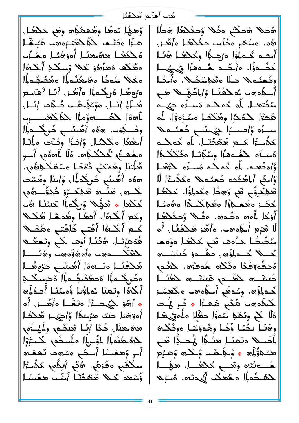وُهِيُّا عَمُدا وِهُعِمَّةٍ وَهُم عُلَمُنَا. هِ أَا هَدُنْـُ لَلْمُلَحَقَّنَاءُ هُوَ هُوَ مُحَمَّلَ هَ لِكَعُمَا هِمَ حِمَا أُوفِهُمْا وَهُنَّا ەھك ەمرەق كىلا ۋسكى أىكىۋا مَكلا مُدَدًا هِمَّمْنُدَءًا هِمَّدَّدَجُدةً ەزەھل ەرگەبال ەلھَـز. اْسُل أَهْرَـــــــم هُــأَلَمْ إِنْــا. هَوَّىْكُمْــمَّــب ضُــكِف إِنْــا. مَاهةَ الْمَحْمَدِ مِنْ الْمُكْتَمَسِينِ وِكْـــكْفوف. 500 أُهُـنْسَـــع كَـرِيْــَــدِيُّا ٱُٮعُعُدَ مكْــُمَـا. وُاُصُـُرَا وِصُـْوَت مِلَاتِـا ەھُھىتُو تُكْلُكُوه. ةُلَّا مُاھۇە أُسو هَلَتِنْا وِهُدتمْ ذُوْصًا مِمْقَكُوْهُوب. 500 أَهْيِسٌم حُرِيْكُمْ!!. وَإِسْلَا وِهَٰنِيْت ڬ؋؞ ۺڵٛ؋؋ۺػڔٚ؋ڝٚػ<mark>؋ٞٮ</mark>؋ٞٯ حُكْفُا ۞ مْوَيْكَا وُرِيْكُمْ}ا تَعْسُلُ هُب وكَم أَكْدُا. أَصْكَا وِهُوهَا هَٰذَلا كُــم أَكْـدُا أَفَتـٰہٖ كَافَتـٰہٖ ہمَّصْـلا فُقعرُنـًا. هُكَنُـا أَوْم كُــ وِنْـعكَـــلا للقنكسسة مأه وأوقع ومن ووكم المسلم هَٰٓدُهُنَـٰا هَـۡـهِۥٓا ٱهۡـسَـٰم حرّٰہِ هُــا ەكْرېڭىما قىتقىشقىلا قىتېمىكى أَكْلَاهُ وَتَعِبْلُ شَمَلَوْنَا وُّومُنْنَا أَصَوَٰلُوهِ \* أَهُوْ كَيْݣَةْ وْتّْقْسَا هِأْهُبَةٍ: أُه أُهوّهُمْا حنّن هرَّمبدًا وَّاحِيْ: هَٰـٰذَـٰـا هِهَ حِمَّا . حُمَّا إِسًا هُنصُّمٍ وِلْمَنُّوْمٍ لِكَمَّمَتُّدَاً الْمُوَلَّا مِلْمِثَّمٍ لَكُسَبُوْا أَمِرٍ وَهُمُسُلَم أَمِيضٌ وَكَاهِدًا تُحْقَّدُه سَلْكُم هَفَزِكُمْ. هُنَّ أَلِلُهُم كَذَّنْتَ ا وَْسْعِدِ كَلِّلا مْتّْقَدّْلَمْ أَنْتُب هِمّْسُلْ

هُصْلًا هُحَكْتُمْ هِثُلًا وُحِكْلَتُهُا هُحَلًّا هُه. مِنْتُمِ وَدَٰنِ حَذَٰكَ وَأَهُدَ. أَمعه كُـملُّوْا هَرْجِـجُا وِكُـلْحُمَـا هُنُـا لْحَشَّــهُواْ. ه/ْمضّــه مــُــهها فيُحِيُّب ا وكَعِنْدِهِ حِلًّا وَهُدْمَحُكُمْ. وأَمِحُلًّا أَسْكُوهُمْ شُمْلَكُمُلًّا وَٱلْمُحَكِّلًا هُسْمَ مَكْتَعْطَ. لَمَ خُمْلُتْ هُمْدُه كَيْتْ هُجْرًا حِدَّىٰ وهُكْمًا مِمْرُووْا. لَم مسأه وَاصِبِ إِلَى ابْسِمَامِ مَلْسِمَ حَدَّسَــتْزَا حَـــم مْحْمَـثَــا. لَم حُـمـحــم هسأه لمشوفأا ومنقلا وكتككأا ؤُاهِ صُعْدٍ. لَمْ يُدْهَدُ هُمِيزُهِ لِلْتَرْهَدِ وَّٰٕاٰ؎َّے ٱلٖمَّكَٰٓدہ کَعنَّـہ۞ ہکدَٗــٰٓۃٖا لُّا هَٰذِكْبِفَ هُمْ وُهكُلْ مِثْدَافُواْ. خُلْطُلُ بُدَّخِ وَهُمِجْوَا وَهُدِيْكُمْ أَرْوَى وَهُوَ الْمَرْدَةُ أَوْكُلْ لِمُوه وَشُـوه. وثُـلا وِّحكُلْعُـلْ لًا مْرَمِ أَجُوهِ .. هِ أَهُ: هُجْعُبًا. أَه مَّصُحُا حزُّەھ ھُم مُحْفَا ەوُّەھ كَمِيلًا كَمْسَمَاؤُونَ. حَقَّسَهُ ضَبَيْتَ بِهِ ەَحقُەقٖٯُكَا ەخْݣە ھُەٯْئەە. ݣْݣُﻤﻪ تَىنْتَ ھَ حَمَّـُـم هَىنْتَــرە حَمَّنَــا تُدعلوْن، وسُمعُم أَسكُموهب مكْعِسُة كَمَدُه مَنْ هُدْ أَوْ مُ يَا مِنْ الْمَسْتَرَارِ مِنْ الْمَرْكَبِ هُلَّا ﴾ وِنَعْمِ مَدَوُّا حقْلًا هِ أَمِيْهَا ﴾ وهُنُـا بِحَيْـا وَّحُـا وِهُوتِيْـا ووفَكْـف أَحْسِلًا هَتَعَلَّا لَعَنُـٰهُۥ لَمُحَـٰهُۥ قَصَمِ هنَـدُوُّلُوه ﴾ وُمِدُمِّـتَ وُمِنْدُه وُهـرُهِ هُــوتُتِهِ وِتَعـــمِ تُعْطُــا. محمُــا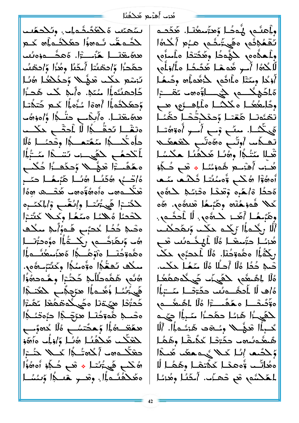بِشَعْتُبَ وَلَكَفَشُوبِ وَتَكْحَفَت لِكُتَّمَاهُمَا شَمْحَةً وَهُلْأَسْمَاءِهُمْ كُتْتَمْ هِهَ حَقْبٌ لَمُ أَنْتُ أَنْ هُ عَذْبَ وَوَيْبَ حكْحَزًا وَ/حقسُّا أَحَطُّا وِهُـٰٓا وَاحقسُـ تُنسْع حكْم شَوْلا وُحكْلْعُا هُنَا كَامِعِينُو أَا مُمَمْ. وأَسْ كُبْ هَجَرَٰا وُحعَكِثُم}ا أَ30 سُنُوءٌا حُد حَتكُسًا هدهُ مقتل وأبِّدْبٍ حتُّــهُ الْإِرْهِ وَهُ وبْقْــا تُحقُّــكُما لْا ـاْحثْــى حكْــت لَمَتْحَمُّــمِ لِحَقِّي—نف تُسْتَدَّا مَشْتُهَا لَم مَفَسْــٰٓ;ا شَوُّــٰلا وۡحِكَمَــٰٓ;ا خُكْـــہٖ ەُاتىسُ ھُكَسُّا ھُسُّا ھُبُعُّا حَسَّرِ هَنَّكُ ٥٥مَ ٥١٥٥٥مَوَّ٥٥٥ هُـدَّـــه و٥٥ لحثَّتْهِا فَي تُبُسَّا وِإِنْغُبِ وْالْمَكْسِرِهِ لأخصا ةهلنا منها وكلا كتُنبرا ەتىبا ئىدا ئىتېپ فەرْآىيا مىڭگ هُ وَمِعۡوَضُــم رِكَـــۃُ اُم وَوَحۃُتَـــا ەھُەوكْتْــا ەْتْوْھُـــدًا ەْھزَىـىغُتْــە ئُا سكُك نَحْغُكُما هَوُّەسُكُما وِكْتُبْتِوْهُوم. هُنُم هَٰهُوحُلاً مِ حُتَنْءَا وهُـودهُؤُا فَي ْرُسُا وُهُــهِ أَا هرَجِدًٖب ۖـهِ شَدْ آيا اللَّهَ عَلَيْهِ حَدَّثَهُ اسْفَعْ مَكْرِجَةَ الْمَرْجَةِ الْمَتْحَةَ ەتىما ھُەرْحُنْما ھۆتىدا دۇەتئىدا ھكَقْـــەُمُّا وَحَتَّنْسُــع ەُلَّا كُلەۋســع َكْتَكْبُ هَٰكَفُنُـا هُنُـا وُاٰوَيَٰكَ هَٱهُوَ حقتُک ہوں اُکُہ تُنگوا کے حتُنوا هُكُم فَي تُسُّلُ \* هُم حُكُمْ أُههُؤُا ەھَٰٓۮۡڡٞٮٞٛ؋ؙٲٳ؞؋ۿٮڔۦۿٮ؇ۭٲ؋ؚٮٮؙٮۢٮٵ

وِءُهنُـم فُـُددَ وَهتَسعُنْـا. هَٰدَٰنــهِ لَقَعُلِمُهِ وَهَيْتُمِيهِ وَهُلُمُوَا لِكُلُّهُ وأحذُهور للأَعطُ وهَكْتَدَا هَاسأُور لْأَكْثَا أَسِرٍ هُدَهْا هُثَمَتُا مِأَافِلُومِ أَوْكُلُ وِمَتْنَا هِلْمَقْعِدٍ ۖ حَذْثَقُوهَا وَحُسَمًا ۖ هْلَكُهْكُمُ وَالْمُسْتَرَبَّطِينَ مِنْ الْمُؤْمِنَةِ مِنْ مِنْ الْمُؤْمَنِينَ مِنْ الْمُؤْمَنِينَ م وِدًا مِعُعُمًا مِنْكَسًا مِلْلِهِ وَمِ مِنْ تقئوت اهتما وحندتموا مقبا ى تُشل مِنّى وْبِي أُسِرِ أُهْوَهُمْا تصكَّلت أوتُب هَةَهتْبِ لَمَقْعَصَــلا تْعِبْلِا مِنْتُجُلْ وِرْمُنَـا هَٰلِكُفُـا حَكْسُـا هُدنِ أَهْنَىــــــو هُــهُوْسُـُــل ﴾ هُـــع حُـــكُوف أُەھُوَّا ھُكُب وُّەمُىُنْدا شُكْتُف مِنْتِف هُحطُ ةُاهُبُو وْتَعْدَا وَدْئِهِ لِحَدُّومِ كْمَلَا قُەفِعْلَاھ وِهَبُعْدَ شَدْهُوم. 6ه وهَبُسُما أَهَد: حَدَّهُ، لَا لْمَحشَــهِ. أَلَّا رَبُّكُمَا رَبِّكُمْ حَكْبٌ وَتَمَّحَكْبُت هُذَا حَتَّمِعْمَا هُلَا أَهْدُوسُ هُبِ رِكْثُهُ أَلْمَ وَحُتَا، وَلَا لِمُحجَوِبِ حَكْبَ دْمِ دُدُا هُلَا أَحِلًا هُلَا مُعْمَلِ حَكْمٍ. مَالَا يَا مُصْحَبِ وَسَٰلَا مِنْ مِنْعَمَةَ لَمْ الْمَاءَ هُ/َ الْأَحِفَّــوسُبِ حَجَّتْــا مِّــتِياً وَقُصْدًا مَعَقَّىــَۃًا وَلَا اِهُمَّـــو مرَهَ الْمِيدَ انْحصَّ لدْنَهْ انْبَهْكَ هُىڤُەىُىھە حكَّتْدَا كَذُمَّا وَهُعُا وَحْدَمَهِ إِلَيْهِ حَمْلَا يَا عَظَمَهِ مِنْهُمْ الْمَرْدَةِ وهُاتُـب وُّوهِـدَّـا كَـهُتِهْـا وهُـمُــا لُّا لمَكْشُمٍ هُمْ دُهِنَو. أَمَثَنَا وِهُزْمًا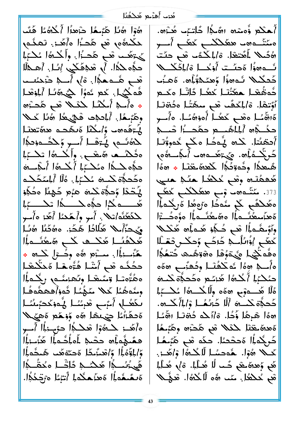هُذِبٍ أُهْبُيعٍ هُكِيْتًا

هُوْا هُنَا هَبُعُا حَرْهِدًا أَكْدَهُ ا هَنَّ مكْمِثُومٍ هُم هُدِّ أَهْلَا وَلَهُمْ الْعَلَمِ كَتِقْبُ قُبْ هَدْ ًا. وأَكْثَرُا مُكْبَهِ! دَبُوحَدُا. أَبِ مَدِفَكِي إِسًا. أَهِمْلَا هَبِ هُــهِـمَمُّا. ةَ) أَســهِ حَبْدَسُــب فَمكِياً. كَم نُورًا كَيْهَمَا أَلِمُوْهَا • • أسلم أَسكُل لهَدْ شَم هَدْرُه وهَبُعُل: أَلِمَحِيْدَ فَحِيْهِ اللَّهُ الْمَحْلَمَ اللَّهُ الْمَحْلَلَ لِّتِفَوهب وُأَسْلَاْ وَيَعْجَدُ هُوَ تَعْقَلُ لِهُنَّمِ لَيُّوْسَلُ أُسِيرٍ وَلِكْسُمْوَدِيْاً ەقْكْسُمْ ھْھْبِ. وأَكْمَةُ بْكَيْدًا حِذُّهِ حِيدًا هُكْتُهَا أَحْدِثًا أَجْسِنَة ەكھۇة كمىغ ئىخىلى. ەْلَا ٱلِمَعْكَلُم لَمِ تَحْدًا وَحِذَّة كَدِنَه حَزْمٍ حَٰجِئًا وَحُكِّفِ هُـــــــــه كُمُ ا حَجُّه حَــــــمُّا تَـحَـــــــمُّ بِهِ لْمَكْلُدُاتْمَلَا. أُسِ وِٱهْدَا أَهَٰذِ هَأُسِو يُحَزَّاْ لَا هَٰلَاظُ هَٰحَٰ: هَ هُ مَا هُ لَا هَٰٓدُهُنُـا هَٰٓدُـ ڡ کٚب هَٰٮعُنُــهِ اُ هَنْسِنْهُا. مسْنَمْ هُ٥ وَصّْحْلْ كَلُّهُ \* حكُدُه هُم أَسْلَ فُتُوهَا هَدَنُدْهَا وهُتُوسًا وَسُبِعْدًا وِتُعْنِشُو رِجْحُواًا ومُعفَّمُا كَلا مُّجُمُّا ثَوزُ قَعِفُوطُ ىكَعُــلا أُمَّئِـــم قَدِئْــل فُءفكَدَّئِمنُــل كارزهة بمغنى وه المهرئ المأنف ه ُاهَـٰـٰٓ; كـُـهُوۡٓا مَّكَــٰهٗا حَيَّـٰٓ; أُا ٱسو همَّدْهَاه حصْبْ لِمَاهُشُماً مَّذَبَٰٓاً لَهُ وَٱلْمَوَّةُ ﴾ [الْعَدَّمَطُ وَحَدَّةَ هَبِ هُدَهُمْ إِلَ فَي ُسُــهُا هَـثــهِ دَاتْــا ه دُقُــهُا كَاسِمُمُولًا وَهزَجكُوا أَتزِيْا وَرَتِكَذَا.

أَهلُكُمْ وَْهِيْدُهُ اهْبِكُمْ! حُلْتَبُب هُنْزُهِ. ەمئىشەھە ھكلاكىم ككىم أسىر هُضًلا لَمُتقَلَّد هُ/إلْكُمُ- هُم حنَّت ئے‰وُا ہٗحنّے اُوجُے ہُاوُکے كُحكُملا شُەرەۋُا وُمحَكْمُوُّلُرە. ەُھەُب دُەقُھْا ھوَدُّىْا حُھُا دَاتْا ەڭىم أَوُّتقَا. ةَالِمُكْفُ هُم معَفَّلِ هَ وَقَالَنَا كَانْقُصًا دْتُفِ كَتْخُلّْ أُدْوَةُصًا. دَأَسو حَكُّ\$ِهِ ٱلْمِلْعُمِ مِعَصَدُ أَصْبَهِ أَحقسُّا. كَده لمُعصُّا مكْم بُعوقُلا كَمِنْكُسُواْهِ. ۞ يتفَسوه بِ أَسْلَمِسْدَةُ مِ هُمعِدًا وحُودُدًا لَكَعِيهَ مِعْنَا \* وَوَا هُدَهُنَّهُ وَهُم مُلَكُما هَنَّهِ هَلَى 373. مَتَنْدەد، قوس ھەكككىم كەكم ەھَٰٓدْفُى ۚ كَٰٓ مُّەحُا ەۡوَهُٰا ەۡرِيُّدَءَٱ ا هُهزَمعِكُــمِلَم مُهْمَــمِلَم مَوْمَـــْزَا وِأَوۡنِـقُـٰء لَٰٓا شَـہٖ ضُـکَٰٓآوۡ هَٰـٰہِ ٱِمَا هَـُـُـٰلا كْفَى إِوَّائِلَـٰهِ كَاكَى وِّكْسُ ثَقْـِلًا الْمُمْتَدْ سَمْعَةِ قَاهِ فَيْ مِنْهُ مَنْهُ مَنْهُ مَنْهُ مَنْهُ مَنْهُ مَنْهُ مَنْهُ مَنْهُ مَنْه ەأَسمِه وەا ئەتكەُلْما وِدُعَنَى (100 حنكبا ألحده اهتئم وكحذة تحمه وْلَا هُــــــوْمِ وهُو وِلَا كُــــوْا مُكْـــزِمْ حُحدٌّة كَسِّنَة أَلَّا حَرْبُعُهَا وَالِمَّ كَلِيهِ. هِءُا هَرِهُا ذُكُلٍ وْأَلَكُ دُقْسًا اقْتَا هُهدهُ مقتل لمثقلا من هُدْرُه وهُبُمُا كُرِبُكُمْ! هُحِثْتُمْا. حكُّه شَي هُبُسُمَا كْمِلًا رُوُوا. هُوصِيُمَا لَا كُلْمُواْ وْاهْدِ. هُم وَهدهُ هُمْ حُــد لَٰا هُــأَـلِ. ٥) هُــأَـلِــ هُم مُحْظُلٌ. مَبْ هُو لَا كُهُ ا. هُؤُخْلَا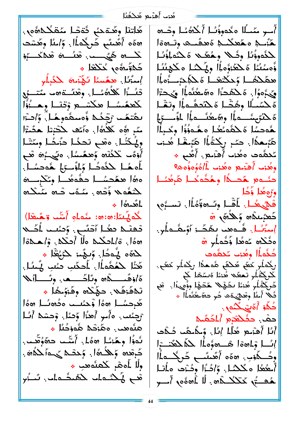هَاتِنَا وِهُـتَمِنُ ذُوْدًا مُفَكِّلَةُوورٍ. 50ه أُهُنَّى حُرِيْكُماْ!. وُامْلًا وِهُنْت لْكَسِدْهِ كُهُنَّ سَبٍّ، قُعْلَسَدْهُ قَعْلَمُكُمْ خَرْفَا كُمْتَوْمِثُومٍ يُمْكَنْقَا \* إمدَّتْل همَسْنَا تَكْتَبْتُ لِكَبَابِ تْسُـزًّا ۞لاُهُـُــا. وِهْنُــةهـٰ مَّتـْــوْلَ كعمَّسُا مكتب وقتا ومؤُا ىمَّتمَّــ ْ رَتِّحُــٰ \$ْ مَــفُومِـمُــلٌ. وَُۙاحــْزَا مِّعٍ وَهُو لَلْأَهَا. وَأَمَّد كَتَبْتِنَا حَقَّتْوَا وِهُكُنُا. هِ تَصِحُلُ حَبْحُل وِمَتْلَا أَوْدًى لّْكَنّْلَاه وُهمّْسُلْ. دَيْجِرُهُ شَع لمُعطَّا حَدَّدُا وَلَؤُسِجَا هُءَدَسًا. دهُا همُحسُّل حقَّدهُـــا وِعْدَمِــــة لِكَمُولًا وُدُهِ . مَدْوُبٍ دَلِهِ مَنْبَلَاهِ لمُعْدَهُ أ لَكُمْ هُمَا: ٥:٥: مُدْمِهِ أَمَنُكَ وَهُبِعْدًا) تَـْقَـٰهُ نَعْـٰا آتَنُـبِ. وِّئنُــٰد لَمَـٰد 160 ). 2/مادىكىدا مالا أدىكلا. ۋاھىلاۋا ﻼﻩ ﺭْﻋﺤًﺎ. ﻭَﯨﻲْﺪ ﻼﺭْﻳَﻘْﺎ .<br>ﻫَﺘْﻠ √ﯩﻤُﻌَﻌﻠًا. ﻠَﺣﻜﯩﺐ ﺣﻨُﺐ ﺭَﻨُﯩﻠًا. لْمُفَرْفُلا. حَيُّلُاه وفَزْوُمِعُا \* هُدِحِسُما هِهُا وُحِسُمَهُ مِحُصِصًا هِهُا رْجِئْك . ه}ٌمو {هٰذَا وُهْدًا . وْحِسْطِ {نُسَارِ هنُوهب. وهُزتُكُمْ هُودُبُلُ \* ئُدؤُا وهُزئـا 1،6%. أُمَنَّب حرَّةُوُتُّف. كَبِقْدِهِ وَلِلْكُمُّا. وَحَصْطَ حُكِمَّاهُ جَ ولًا لَمَاهُم كُلّْعَثُمْتِ \* ھُے لَیکْشمات لاگلنڈھات. تَسنُر

أُسب مَنْساًا مثَدووُنَا أَكْدَّدُنَا وِتْـ هَّزُكُمْ مَهْلِكُكُمْ هُلْقَصْلِهِ وَلَــ20\$ لحذَّدوؤُكُل وشَلا وهُكَلد هَ لِمُتَداوُّنُـل وْهِمُنُنَا هَكْعَرْوُهِ إِلَى الْمَكْلِنَا وَلَكُمْنَا ههَكْمُــا وَحكْتْعْــا هَـكَلِمْدَ ِـــزُه لِمَا وَيَجْمِعُوا بِهِ مَكْشَحَةُ الْمَعْشَمَةُ الْمَحْرَةِ هَكْسُلًا وهُثْـا هَكْتَحَفُّـهِ أَا وِتَغْـا هُكْتُنِمْسُــد}ُا وِهَٰىعُنُــدِهُا لِمُؤْسَــزِهِ هُدَمِيْلِ هَ حَدَّدُهُمْ لَا مَعْدَوْوُ الْعَجِيْلَ هُبْعِدًا. حَبْ رِكِّةً إِلَّا هُبُغْا هُـزِب مُحقَّدت وهُن، أُهْنُوم. أَهُم \* وهُذب أُهْنُط وهُذب أَأَوُوُووُوهِ؟ حنَّــوم هُجَـــدًا وهُجَّوجُـــا هُرِمُحُــا وَوَهُدَا وَّجَا فَكَيْهَا. أَفْسا وِنُـهوَّهُ أَا. تَسبُّهِ كُعْبُسْدُهِ وَلِلَكُمْ ق إمىُّهُـل. فَــــــــــ لكَــَــــ أَوَّـــفُــــملُــر. ەڭلاھ غەھُل ۆُڅُەلُرٖ ق كُنُّه لَمَٰ المُوجَّد مُحَصَّدت رِكْدلُر كَعَّى هَدْفَ هُدهُا رِكْدلُر كَعَى.<br>كَرِكَةُلُر تَعْفَلا هُـْنَا هَسَّقَا كَبِي مَا عَلَيْهِا مَعْ الْمَجْمَعِينَ مَنْ الْمَجْمَعِينَ مَنْ<br>ضِكِّةُلُر هُـْنَا بِكَـٰهُلا جَمْحَهَا وِوْمِيدُا. ۚ هَمِ ثَلًا أَمِلًا وِتَعَمِّيهَ مِ دُرٍ دِهَمَتُمَالَ \* ئىگە أەپ كەي حفّ حثَّكْفُرْم ألمَّكَمَّلا أَمَٰا أَهْبَـم هُٰلَما إِمَٰا. وَمِكَمِّمَت خُـكَمَ إِنْسا وْلِمْهَا هْــْمُؤْمِلًا كَلَاحْقُنْــْزَا وِحُـــكُوْبِ. 500 أَهْمِنُــــمِ حَرِيْـــمِـلَا ا أَعِفُعُلِ مَكْكُلٍ. وُاُضُرًّا وِضُرَّفَ مِلَانًا هُدْتُو كَتْݣُكْتُمُ وهُ لَلْ يُرْهَقُومِ أَيْسِ